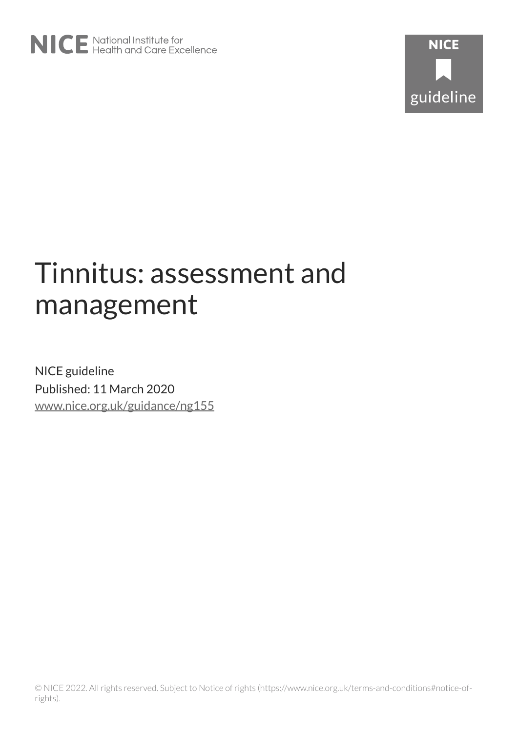

# Tinnitus: assessment and management

NICE guideline Published: 11 March 2020 [www.nice.org.uk/guidance/ng155](https://www.nice.org.uk/guidance/ng155)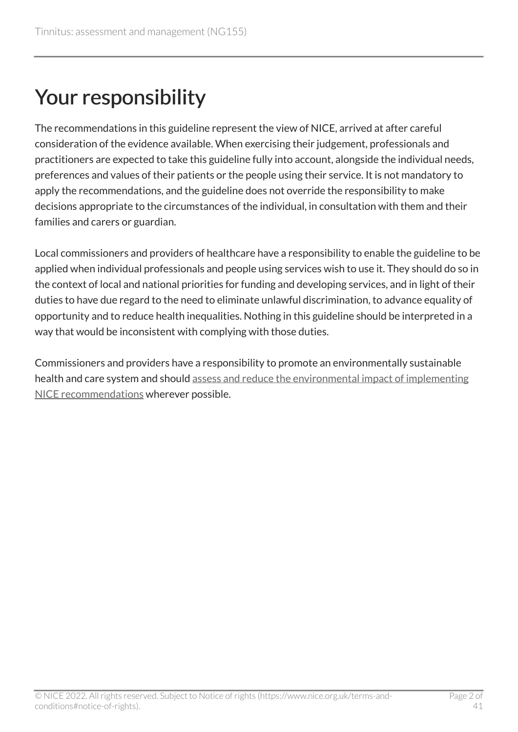# Your responsibility

The recommendations in this guideline represent the view of NICE, arrived at after careful consideration of the evidence available. When exercising their judgement, professionals and practitioners are expected to take this guideline fully into account, alongside the individual needs, preferences and values of their patients or the people using their service. It is not mandatory to apply the recommendations, and the guideline does not override the responsibility to make decisions appropriate to the circumstances of the individual, in consultation with them and their families and carers or guardian.

Local commissioners and providers of healthcare have a responsibility to enable the guideline to be applied when individual professionals and people using services wish to use it. They should do so in the context of local and national priorities for funding and developing services, and in light of their duties to have due regard to the need to eliminate unlawful discrimination, to advance equality of opportunity and to reduce health inequalities. Nothing in this guideline should be interpreted in a way that would be inconsistent with complying with those duties.

Commissioners and providers have a responsibility to promote an environmentally sustainable health and care system and should [assess and reduce the environmental impact of implementing](https://www.nice.org.uk/about/who-we-are/sustainability)  [NICE recommendations](https://www.nice.org.uk/about/who-we-are/sustainability) wherever possible.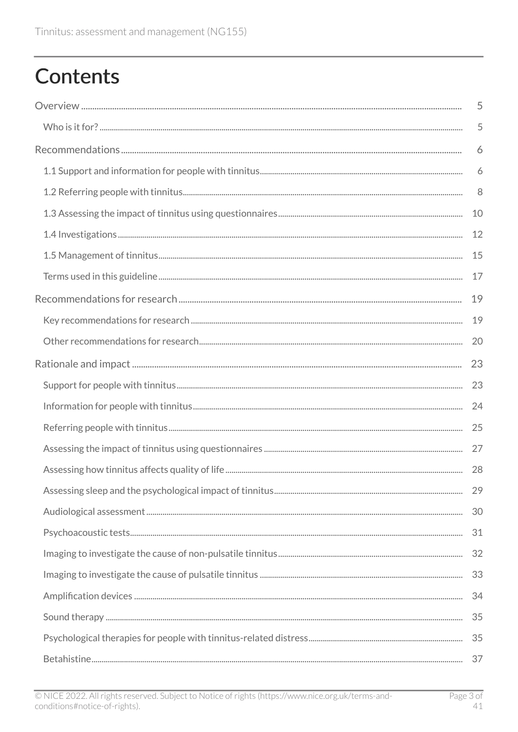# **Contents**

| 5  |
|----|
| 5  |
| 6  |
| 6  |
| 8  |
| 10 |
| 12 |
| 15 |
| 17 |
| 19 |
| 19 |
| 20 |
| 23 |
| 23 |
| 24 |
| 25 |
| 27 |
|    |
|    |
| 30 |
| 31 |
| 32 |
| 33 |
| 34 |
| 35 |
| 35 |
| 37 |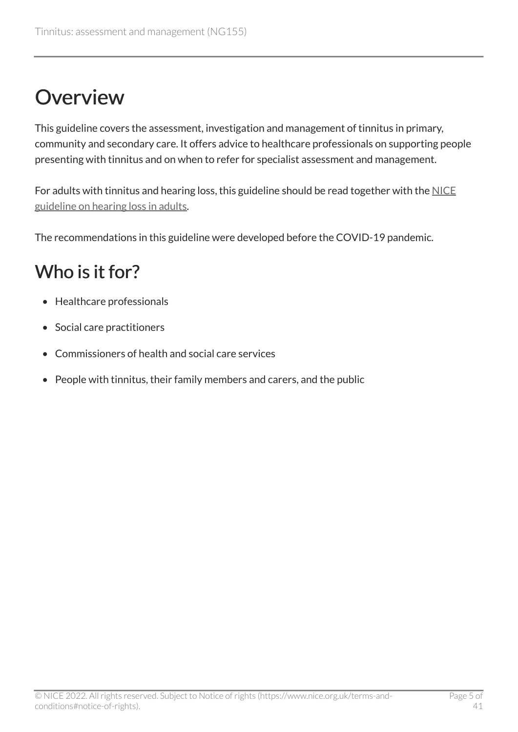# <span id="page-4-0"></span>**Overview**

This guideline covers the assessment, investigation and management of tinnitus in primary, community and secondary care. It offers advice to healthcare professionals on supporting people presenting with tinnitus and on when to refer for specialist assessment and management.

For adults with tinnitus and hearing loss, this guideline should be read together with the [NICE](https://www.nice.org.uk/guidance/ng98) [guideline on hearing loss in adults.](https://www.nice.org.uk/guidance/ng98)

The recommendations in this guideline were developed before the COVID-19 pandemic.

## <span id="page-4-1"></span>Who is it for?

- Healthcare professionals
- Social care practitioners
- Commissioners of health and social care services
- People with tinnitus, their family members and carers, and the public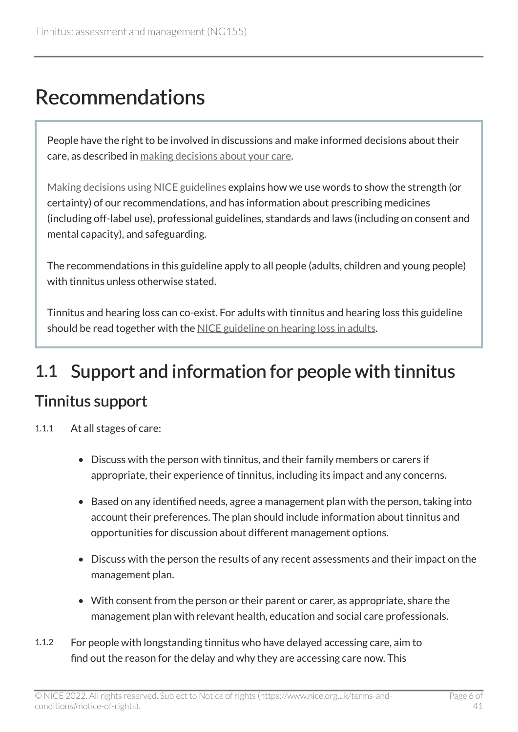## <span id="page-5-0"></span>Recommendations

People have the right to be involved in discussions and make informed decisions about their care, as described in [making decisions about your care.](http://www.nice.org.uk/about/nice-communities/public-involvement/your-care)

[Making decisions using NICE guidelines](http://www.nice.org.uk/about/what-we-do/our-programmes/nice-guidance/nice-guidelines/using-NICE-guidelines-to-make-decisions) explains how we use words to show the strength (or certainty) of our recommendations, and has information about prescribing medicines (including off-label use), professional guidelines, standards and laws (including on consent and mental capacity), and safeguarding.

The recommendations in this guideline apply to all people (adults, children and young people) with tinnitus unless otherwise stated.

Tinnitus and hearing loss can co-exist. For adults with tinnitus and hearing loss this guideline should be read together with the [NICE guideline on hearing loss in adults.](https://www.nice.org.uk/guidance/ng98)

## <span id="page-5-2"></span><span id="page-5-1"></span>1.1 Support and information for people with tinnitus Tinnitus support

- 1.1.1 At all stages of care:
	- Discuss with the person with tinnitus, and their family members or carers if appropriate, their experience of tinnitus, including its impact and any concerns.
	- Based on any identified needs, agree a management plan with the person, taking into account their preferences. The plan should include information about tinnitus and opportunities for discussion about different management options.
	- Discuss with the person the results of any recent assessments and their impact on the management plan.
	- With consent from the person or their parent or carer, as appropriate, share the management plan with relevant health, education and social care professionals.
- 1.1.2 For people with longstanding tinnitus who have delayed accessing care, aim to find out the reason for the delay and why they are accessing care now. This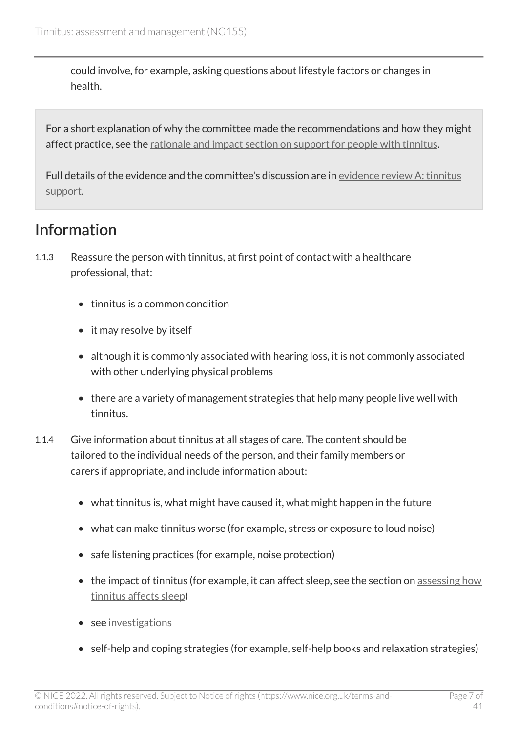could involve, for example, asking questions about lifestyle factors or changes in health.

For a short explanation of why the committee made the recommendations and how they might affect practice, see the [rationale and impact section on support for people with tinnitus](#page-22-1).

Full details of the evidence and the committee's discussion are in [evidence review A: tinnitus](https://www.nice.org.uk/guidance/ng155/evidence/a-tinnitus-support-pdf-7089705757) [support.](https://www.nice.org.uk/guidance/ng155/evidence/a-tinnitus-support-pdf-7089705757)

### <span id="page-6-0"></span>Information

- 1.1.3 Reassure the person with tinnitus, at first point of contact with a healthcare professional, that:
	- tinnitus is a common condition
	- it may resolve by itself
	- although it is commonly associated with hearing loss, it is not commonly associated with other underlying physical problems
	- there are a variety of management strategies that help many people live well with tinnitus.
- 1.1.4 Give information about tinnitus at all stages of care. The content should be tailored to the individual needs of the person, and their family members or carers if appropriate, and include information about:
	- what tinnitus is, what might have caused it, what might happen in the future
	- what can make tinnitus worse (for example, stress or exposure to loud noise)
	- safe listening practices (for example, noise protection)
	- the impact of tinnitus (for example, it can affect sleep, see the section on assessing how [tinnitus affects sleep\)](#page-10-0)
	- see [investigations](#page-11-0)
	- self-help and coping strategies (for example, self-help books and relaxation strategies)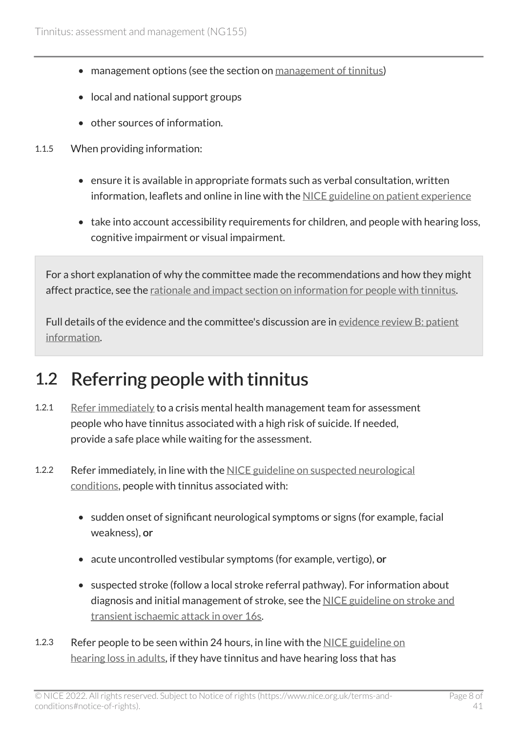- management options (see the section on [management of tinnitus\)](#page-14-0)
- local and national support groups
- other sources of information.
- 1.1.5 When providing information:
	- ensure it is available in appropriate formats such as verbal consultation, written information, leaflets and online in line with the [NICE guideline on patient experience](https://www.nice.org.uk/guidance/cg138)
	- take into account accessibility requirements for children, and people with hearing loss, cognitive impairment or visual impairment.

For a short explanation of why the committee made the recommendations and how they might affect practice, see the [rationale and impact section on information for people with tinnitus](#page-23-0).

Full details of the evidence and the committee's discussion are in [evidence review B: patient](https://www.nice.org.uk/guidance/ng155/evidence/b-patient-information-pdf-7089705758) [information.](https://www.nice.org.uk/guidance/ng155/evidence/b-patient-information-pdf-7089705758)

### <span id="page-7-0"></span>1.2 Referring people with tinnitus

- 1.2.1 [Refer immediately](#page-16-1) to a crisis mental health management team for assessment people who have tinnitus associated with a high risk of suicide. If needed, provide a safe place while waiting for the assessment.
- 1.2.2 Refer immediately, in line with the [NICE guideline on suspected neurological](https://www.nice.org.uk/guidance/ng127) [conditions](https://www.nice.org.uk/guidance/ng127), people with tinnitus associated with:
	- sudden onset of significant neurological symptoms or signs (for example, facial weakness), or
	- acute uncontrolled vestibular symptoms (for example, vertigo), or
	- suspected stroke (follow a local stroke referral pathway). For information about diagnosis and initial management of stroke, see the [NICE guideline on stroke and](https://www.nice.org.uk/guidance/ng128)  [transient ischaemic attack in over 16s.](https://www.nice.org.uk/guidance/ng128)
- 1.2.3 Refer people to be seen within 24 hours, in line with the [NICE guideline on](https://www.nice.org.uk/guidance/ng98)  [hearing loss in adults](https://www.nice.org.uk/guidance/ng98), if they have tinnitus and have hearing loss that has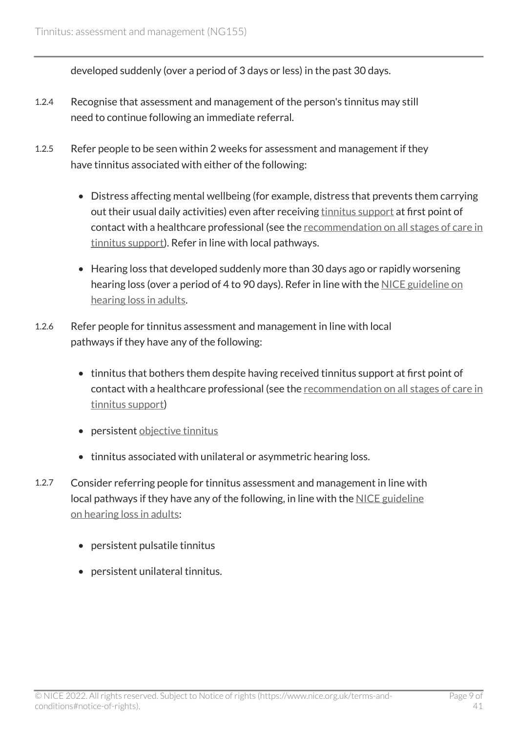developed suddenly (over a period of 3 days or less) in the past 30 days.

- 1.2.4 Recognise that assessment and management of the person's tinnitus may still need to continue following an immediate referral.
- 1.2.5 Refer people to be seen within 2 weeks for assessment and management if they have tinnitus associated with either of the following:
	- Distress affecting mental wellbeing (for example, distress that prevents them carrying out their usual daily activities) even after receiving [tinnitus support](#page-17-0) at first point of contact with a healthcare professional (see the [recommendation on all stages of care in](#page-5-2) [tinnitus support](#page-5-2)). Refer in line with local pathways.
	- Hearing loss that developed suddenly more than 30 days ago or rapidly worsening hearing loss (over a period of 4 to 90 days). Refer in line with the [NICE guideline on](https://www.nice.org.uk/guidance/ng98) [hearing loss in adults](https://www.nice.org.uk/guidance/ng98).
- 1.2.6 Refer people for tinnitus assessment and management in line with local pathways if they have any of the following:
	- tinnitus that bothers them despite having received tinnitus support at first point of contact with a healthcare professional (see the [recommendation on all stages of care in](#page-5-2) [tinnitus support](#page-5-2))
	- persistent [objective tinnitus](#page-16-2)
	- tinnitus associated with unilateral or asymmetric hearing loss.
- 1.2.7 Consider referring people for tinnitus assessment and management in line with local pathways if they have any of the following, in line with the [NICE guideline](https://www.nice.org.uk/guidance/ng98) [on hearing loss in adults:](https://www.nice.org.uk/guidance/ng98)
	- persistent pulsatile tinnitus
	- persistent unilateral tinnitus.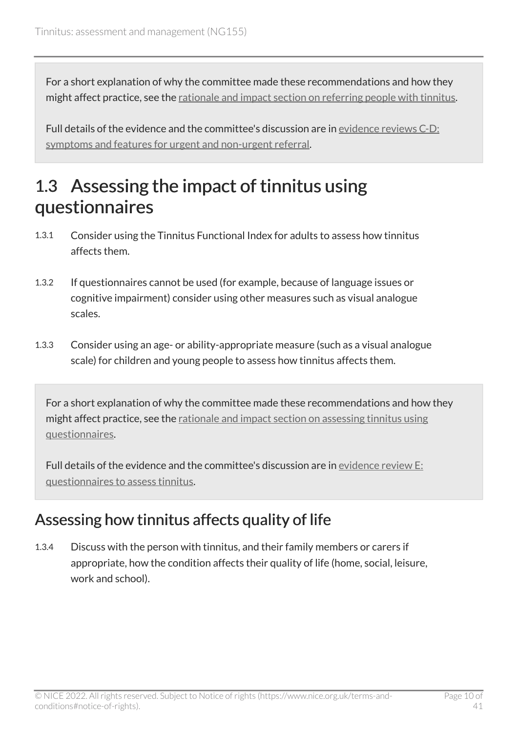For a short explanation of why the committee made these recommendations and how they might affect practice, see the [rationale and impact section on referring people with tinnitus.](#page-24-0)

Full details of the evidence and the committee's discussion are in [evidence reviews C-D:](https://www.nice.org.uk/guidance/ng155/evidence/cd-symptoms-and-features-for-urgent-and-nonurgent-referral-pdf-7089705759) [symptoms and features for urgent and non-urgent referral.](https://www.nice.org.uk/guidance/ng155/evidence/cd-symptoms-and-features-for-urgent-and-nonurgent-referral-pdf-7089705759)

### <span id="page-9-0"></span>1.3 Assessing the impact of tinnitus using questionnaires

- 1.3.1 Consider using the Tinnitus Functional Index for adults to assess how tinnitus affects them.
- 1.3.2 If questionnaires cannot be used (for example, because of language issues or cognitive impairment) consider using other measures such as visual analogue scales.
- 1.3.3 Consider using an age- or ability-appropriate measure (such as a visual analogue scale) for children and young people to assess how tinnitus affects them.

For a short explanation of why the committee made these recommendations and how they might affect practice, see the [rationale and impact section on assessing tinnitus using](#page-26-0) [questionnaires.](#page-26-0)

Full details of the evidence and the committee's discussion are in [evidence review E:](https://www.nice.org.uk/guidance/ng155/evidence/e-questionnaires-to-assess-tinnitus-pdf-7089705760)  [questionnaires to assess tinnitus](https://www.nice.org.uk/guidance/ng155/evidence/e-questionnaires-to-assess-tinnitus-pdf-7089705760).

#### <span id="page-9-1"></span>Assessing how tinnitus affects quality of life

1.3.4 Discuss with the person with tinnitus, and their family members or carers if appropriate, how the condition affects their quality of life (home, social, leisure, work and school).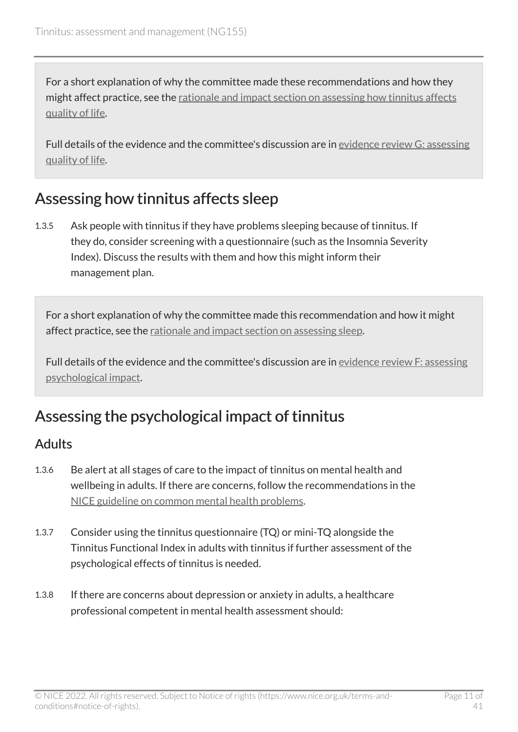For a short explanation of why the committee made these recommendations and how they might affect practice, see the [rationale and impact section on assessing how tinnitus affects](#page-27-0)  [quality of life.](#page-27-0)

Full details of the evidence and the committee's discussion are in [evidence review G: assessing](https://www.nice.org.uk/guidance/ng155/evidence/g-assessing-quality-of-life-pdf-7089705762)  [quality of life.](https://www.nice.org.uk/guidance/ng155/evidence/g-assessing-quality-of-life-pdf-7089705762)

#### <span id="page-10-0"></span>Assessing how tinnitus affects sleep

1.3.5 Ask people with tinnitus if they have problems sleeping because of tinnitus. If they do, consider screening with a questionnaire (such as the Insomnia Severity Index). Discuss the results with them and how this might inform their management plan.

For a short explanation of why the committee made this recommendation and how it might affect practice, see the [rationale and impact section on assessing sleep.](#page-28-0)

Full details of the evidence and the committee's discussion are in [evidence review F: assessing](https://www.nice.org.uk/guidance/ng155/evidence/f-assessing-psychological-impact-pdf-7089705761) [psychological impact](https://www.nice.org.uk/guidance/ng155/evidence/f-assessing-psychological-impact-pdf-7089705761).

#### <span id="page-10-1"></span>Assessing the psychological impact of tinnitus

#### Adults

- 1.3.6 Be alert at all stages of care to the impact of tinnitus on mental health and wellbeing in adults. If there are concerns, follow the recommendations in the [NICE guideline on common mental health problems.](https://www.nice.org.uk/guidance/cg123)
- 1.3.7 Consider using the tinnitus questionnaire (TQ) or mini-TQ alongside the Tinnitus Functional Index in adults with tinnitus if further assessment of the psychological effects of tinnitus is needed.
- 1.3.8 If there are concerns about depression or anxiety in adults, a healthcare professional competent in mental health assessment should: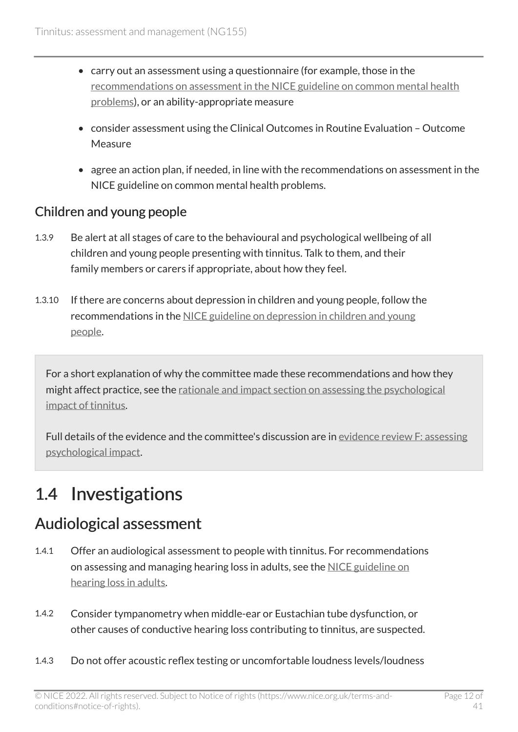- carry out an assessment using a questionnaire (for example, those in the [recommendations on assessment in the NICE guideline on common mental health](https://www.nice.org.uk/guidance/cg123/chapter/1-Guidance#step-1-identification-and-assessment) [problems\)](https://www.nice.org.uk/guidance/cg123/chapter/1-Guidance#step-1-identification-and-assessment), or an ability-appropriate measure
- consider assessment using the Clinical Outcomes in Routine Evaluation Outcome Measure
- agree an action plan, if needed, in line with the recommendations on assessment in the NICE guideline on common mental health problems.

#### Children and young people

- 1.3.9 Be alert at all stages of care to the behavioural and psychological wellbeing of all children and young people presenting with tinnitus. Talk to them, and their family members or carers if appropriate, about how they feel.
- 1.3.10 If there are concerns about depression in children and young people, follow the recommendations in the [NICE guideline on depression in children and young](https://www.nice.org.uk/guidance/ng134)  [people.](https://www.nice.org.uk/guidance/ng134)

For a short explanation of why the committee made these recommendations and how they might affect practice, see the [rationale and impact section on assessing the psychological](#page-28-0)  [impact of tinnitus](#page-28-0).

Full details of the evidence and the committee's discussion are in [evidence review F: assessing](https://www.nice.org.uk/guidance/ng155/evidence/f-assessing-psychological-impact-pdf-7089705761) [psychological impact](https://www.nice.org.uk/guidance/ng155/evidence/f-assessing-psychological-impact-pdf-7089705761).

## <span id="page-11-0"></span>1.4 Investigations

#### <span id="page-11-1"></span>Audiological assessment

- 1.4.1 Offer an audiological assessment to people with tinnitus. For recommendations on assessing and managing hearing loss in adults, see the NICE guideline on [hearing loss in adults](https://www.nice.org.uk/guidance/ng98/chapter/Recommendations).
- 1.4.2 Consider tympanometry when middle-ear or Eustachian tube dysfunction, or other causes of conductive hearing loss contributing to tinnitus, are suspected.
- 1.4.3 Do not offer acoustic reflex testing or uncomfortable loudness levels/loudness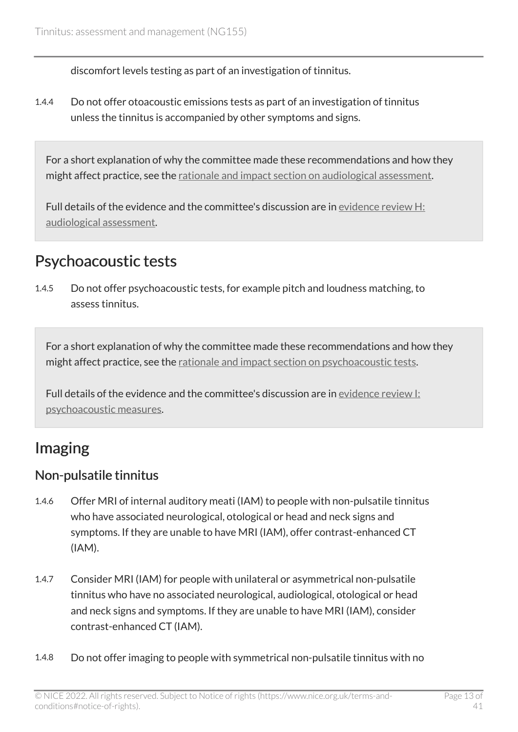discomfort levels testing as part of an investigation of tinnitus.

1.4.4 Do not offer otoacoustic emissions tests as part of an investigation of tinnitus unless the tinnitus is accompanied by other symptoms and signs.

For a short explanation of why the committee made these recommendations and how they might affect practice, see the [rationale and impact section on audiological assessment](#page-29-0).

Full details of the evidence and the committee's discussion are in evidence review H: [audiological assessment](https://www.nice.org.uk/guidance/ng155/evidence/h-audiological-assessment-pdf-7089705763).

#### <span id="page-12-0"></span>Psychoacoustic tests

1.4.5 Do not offer psychoacoustic tests, for example pitch and loudness matching, to assess tinnitus.

For a short explanation of why the committee made these recommendations and how they might affect practice, see the [rationale and impact section on psychoacoustic tests](#page-30-0).

Full details of the evidence and the committee's discussion are in [evidence review I:](https://www.nice.org.uk/guidance/ng155/evidence/i-psychoacoustic-measures-pdf-7089705764) [psychoacoustic measures.](https://www.nice.org.uk/guidance/ng155/evidence/i-psychoacoustic-measures-pdf-7089705764)

#### Imaging

#### <span id="page-12-1"></span>Non-pulsatile tinnitus

- 1.4.6 Offer MRI of internal auditory meati (IAM) to people with non-pulsatile tinnitus who have associated neurological, otological or head and neck signs and symptoms. If they are unable to have MRI (IAM), offer contrast-enhanced CT (IAM).
- 1.4.7 Consider MRI (IAM) for people with unilateral or asymmetrical non-pulsatile tinnitus who have no associated neurological, audiological, otological or head and neck signs and symptoms. If they are unable to have MRI (IAM), consider contrast-enhanced CT (IAM).
- 1.4.8 Do not offer imaging to people with symmetrical non-pulsatile tinnitus with no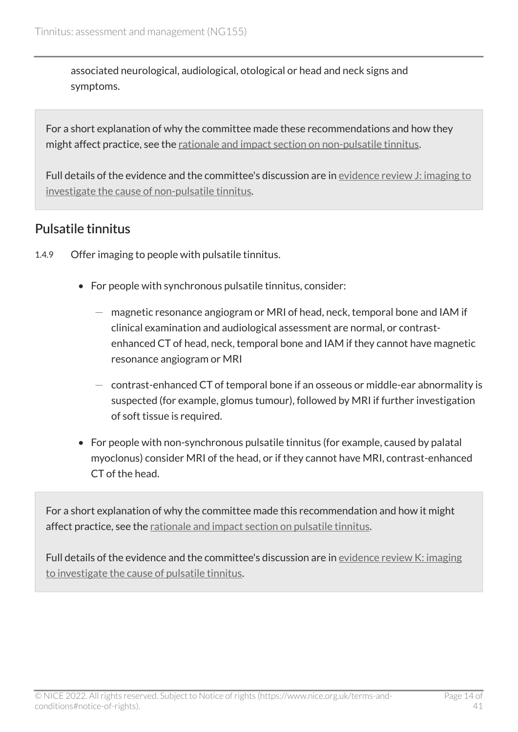associated neurological, audiological, otological or head and neck signs and symptoms.

For a short explanation of why the committee made these recommendations and how they might affect practice, see the [rationale and impact section on non-pulsatile tinnitus.](#page-31-0)

Full details of the evidence and the committee's discussion are in [evidence review J: imaging to](https://www.nice.org.uk/guidance/ng155/evidence/j-imaging-to-investigate-the-cause-of-nonpulsatile-tinnitus-pdf-7089705765)  [investigate the cause of non-pulsatile tinnitus.](https://www.nice.org.uk/guidance/ng155/evidence/j-imaging-to-investigate-the-cause-of-nonpulsatile-tinnitus-pdf-7089705765)

#### <span id="page-13-0"></span>Pulsatile tinnitus

- 1.4.9 Offer imaging to people with pulsatile tinnitus.
	- For people with synchronous pulsatile tinnitus, consider:
		- magnetic resonance angiogram or MRI of head, neck, temporal bone and IAM if clinical examination and audiological assessment are normal, or contrastenhanced CT of head, neck, temporal bone and IAM if they cannot have magnetic resonance angiogram or MRI
		- $-$  contrast-enhanced CT of temporal bone if an osseous or middle-ear abnormality is suspected (for example, glomus tumour), followed by MRI if further investigation of soft tissue is required.
	- For people with non-synchronous pulsatile tinnitus (for example, caused by palatal myoclonus) consider MRI of the head, or if they cannot have MRI, contrast-enhanced CT of the head.

For a short explanation of why the committee made this recommendation and how it might affect practice, see the [rationale and impact section on pulsatile tinnitus](#page-32-0).

Full details of the evidence and the committee's discussion are in [evidence review K: imaging](https://www.nice.org.uk/guidance/ng155/evidence/k-imaging-to-investigate-the-cause-of-pulsatile-tinnitus-pdf-255229407252) [to investigate the cause of pulsatile tinnitus](https://www.nice.org.uk/guidance/ng155/evidence/k-imaging-to-investigate-the-cause-of-pulsatile-tinnitus-pdf-255229407252).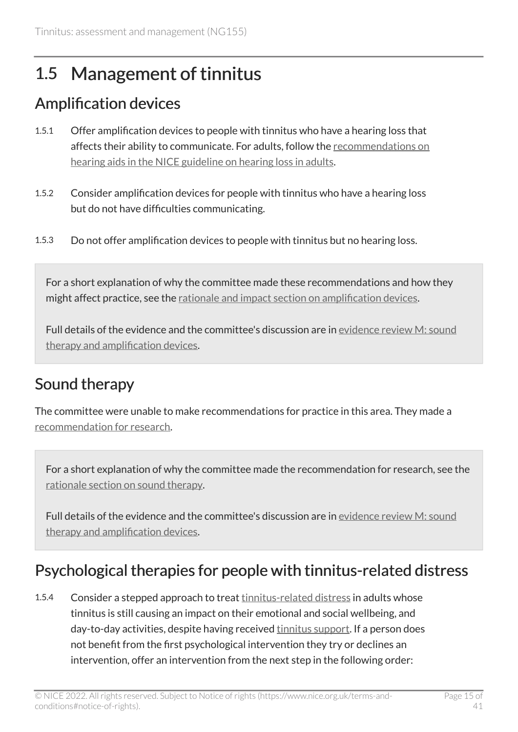## <span id="page-14-0"></span>1.5 Management of tinnitus

### <span id="page-14-1"></span>Amplification devices

- 1.5.1 Offer amplification devices to people with tinnitus who have a hearing loss that affects their ability to communicate. For adults, follow the [recommendations on](https://www.nice.org.uk/guidance/ng98/chapter/Recommendations#hearing-aids-and-assistive-listening-devices)  [hearing aids in the NICE guideline on hearing loss in adults.](https://www.nice.org.uk/guidance/ng98/chapter/Recommendations#hearing-aids-and-assistive-listening-devices)
- 1.5.2 Consider amplification devices for people with tinnitus who have a hearing loss but do not have difficulties communicating.
- 1.5.3 Do not offer amplification devices to people with tinnitus but no hearing loss.

For a short explanation of why the committee made these recommendations and how they might affect practice, see the [rationale and impact section on amplification devices.](#page-33-0)

Full details of the evidence and the committee's discussion are in [evidence review M: sound](https://www.nice.org.uk/guidance/ng155/evidence/m-sound-therapy-and-amplification-devices-pdf-255229407254)  [therapy and amplification devices](https://www.nice.org.uk/guidance/ng155/evidence/m-sound-therapy-and-amplification-devices-pdf-255229407254).

### <span id="page-14-2"></span>Sound therapy

The committee were unable to make recommendations for practice in this area. They made a [recommendation for research.](#page-18-2)

For a short explanation of why the committee made the recommendation for research, see the [rationale section on sound therapy](#page-34-0).

Full details of the evidence and the committee's discussion are in [evidence review M: sound](https://www.nice.org.uk/guidance/ng155/evidence/m-sound-therapy-and-amplification-devices-pdf-255229407254)  [therapy and amplification devices](https://www.nice.org.uk/guidance/ng155/evidence/m-sound-therapy-and-amplification-devices-pdf-255229407254).

#### <span id="page-14-3"></span>Psychological therapies for people with tinnitus-related distress

1.5.4 Consider a stepped approach to treat [tinnitus-related distress](#page-16-3) in adults whose tinnitus is still causing an impact on their emotional and social wellbeing, and day-to-day activities, despite having received **tinnitus support.** If a person does not benefit from the first psychological intervention they try or declines an intervention, offer an intervention from the next step in the following order: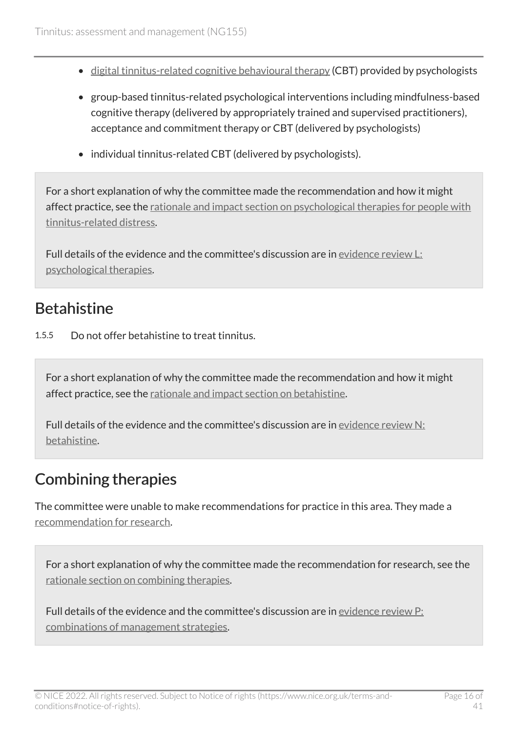- [digital tinnitus-related cognitive behavioural therapy](#page-16-4) (CBT) provided by psychologists
- group-based tinnitus-related psychological interventions including mindfulness-based cognitive therapy (delivered by appropriately trained and supervised practitioners), acceptance and commitment therapy or CBT (delivered by psychologists)
- individual tinnitus-related CBT (delivered by psychologists).

For a short explanation of why the committee made the recommendation and how it might affect practice, see the [rationale and impact section on psychological therapies for people with](#page-34-1) [tinnitus-related distress](#page-34-1).

Full details of the evidence and the committee's discussion are in [evidence review L:](https://www.nice.org.uk/guidance/ng155/evidence/l-psychological-therapies-pdf-255229407253)  [psychological therapies.](https://www.nice.org.uk/guidance/ng155/evidence/l-psychological-therapies-pdf-255229407253)

#### <span id="page-15-0"></span>**Betahistine**

1.5.5 Do not offer betahistine to treat tinnitus.

For a short explanation of why the committee made the recommendation and how it might affect practice, see the [rationale and impact section on betahistine.](#page-36-0)

Full details of the evidence and the committee's discussion are in [evidence review N:](https://www.nice.org.uk/guidance/ng155/evidence/n-betahistine-pdf-255229407255)  [betahistine.](https://www.nice.org.uk/guidance/ng155/evidence/n-betahistine-pdf-255229407255)

#### <span id="page-15-1"></span>Combining therapies

The committee were unable to make recommendations for practice in this area. They made a [recommendation for research.](#page-18-2)

For a short explanation of why the committee made the recommendation for research, see the [rationale section on combining therapies](#page-37-0).

Full details of the evidence and the committee's discussion are in [evidence review P:](https://www.nice.org.uk/guidance/ng155/evidence/p-combinations-of-management-strategies-pdf-255229407257)  [combinations of management strategies](https://www.nice.org.uk/guidance/ng155/evidence/p-combinations-of-management-strategies-pdf-255229407257).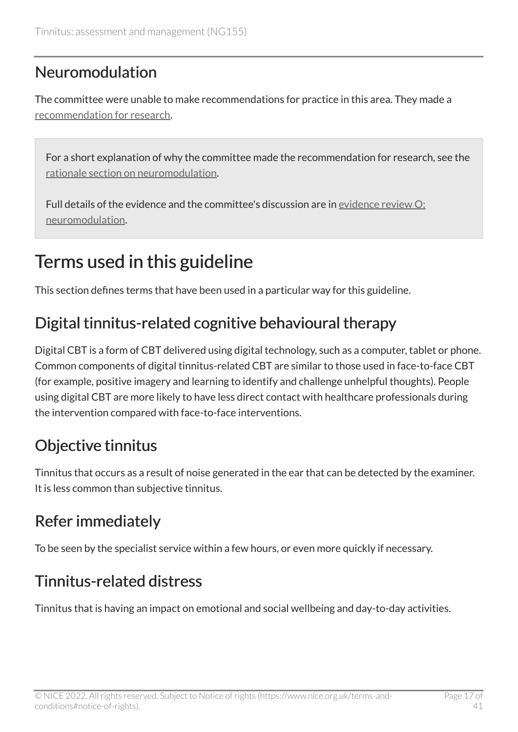### <span id="page-16-5"></span>Neuromodulation

The committee were unable to make recommendations for practice in this area. They made a [recommendation for research.](#page-19-1)

For a short explanation of why the committee made the recommendation for research, see the [rationale section on neuromodulation](#page-38-0).

Full details of the evidence and the committee's discussion are in [evidence review O:](https://www.nice.org.uk/guidance/ng155/evidence/o-neuromodulation-pdf-255229407256) [neuromodulation.](https://www.nice.org.uk/guidance/ng155/evidence/o-neuromodulation-pdf-255229407256)

## <span id="page-16-0"></span>Terms used in this guideline

This section defines terms that have been used in a particular way for this guideline.

### <span id="page-16-4"></span>Digital tinnitus-related cognitive behavioural therapy

Digital CBT is a form of CBT delivered using digital technology, such as a computer, tablet or phone. Common components of digital tinnitus-related CBT are similar to those used in face-to-face CBT (for example, positive imagery and learning to identify and challenge unhelpful thoughts). People using digital CBT are more likely to have less direct contact with healthcare professionals during the intervention compared with face-to-face interventions.

### <span id="page-16-2"></span>Objective tinnitus

Tinnitus that occurs as a result of noise generated in the ear that can be detected by the examiner. It is less common than subjective tinnitus.

### <span id="page-16-1"></span>Refer immediately

To be seen by the specialist service within a few hours, or even more quickly if necessary.

### <span id="page-16-3"></span>Tinnitus-related distress

Tinnitus that is having an impact on emotional and social wellbeing and day-to-day activities.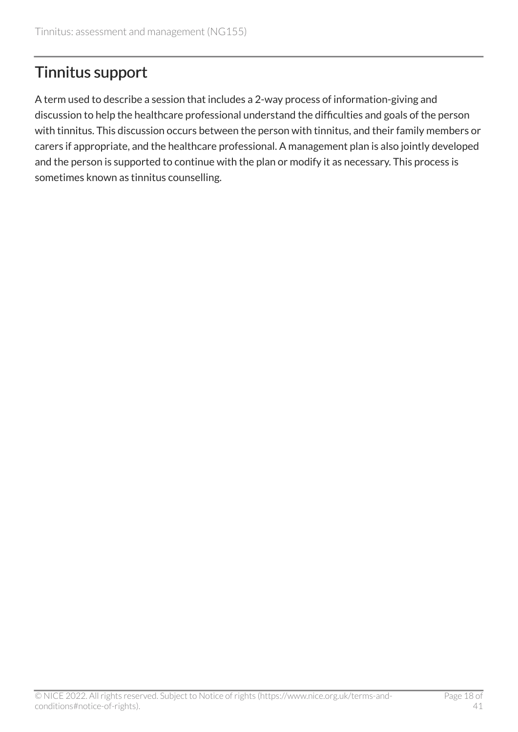### <span id="page-17-0"></span>Tinnitus support

A term used to describe a session that includes a 2-way process of information-giving and discussion to help the healthcare professional understand the difficulties and goals of the person with tinnitus. This discussion occurs between the person with tinnitus, and their family members or carers if appropriate, and the healthcare professional. A management plan is also jointly developed and the person is supported to continue with the plan or modify it as necessary. This process is sometimes known as tinnitus counselling.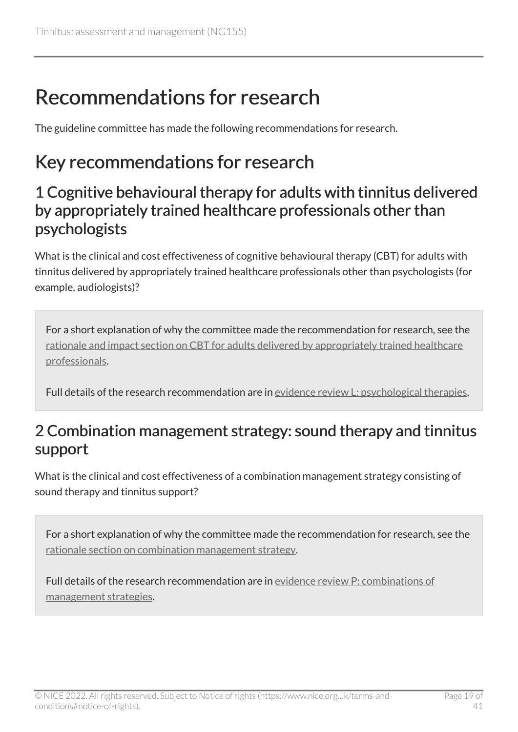## <span id="page-18-0"></span>Recommendations for research

The guideline committee has made the following recommendations for research.

## <span id="page-18-1"></span>Key recommendations for research

#### <span id="page-18-3"></span>1 Cognitive behavioural therapy for adults with tinnitus delivered by appropriately trained healthcare professionals other than psychologists

What is the clinical and cost effectiveness of cognitive behavioural therapy (CBT) for adults with tinnitus delivered by appropriately trained healthcare professionals other than psychologists (for example, audiologists)?

For a short explanation of why the committee made the recommendation for research, see the [rationale and impact section on CBT for adults delivered by appropriately trained healthcare](#page-34-1) [professionals](#page-34-1).

Full details of the research recommendation are in [evidence review L: psychological therapies.](https://www.nice.org.uk/guidance/ng155/evidence/l-psychological-therapies-pdf-255229407253)

#### <span id="page-18-2"></span>2 Combination management strategy: sound therapy and tinnitus support

What is the clinical and cost effectiveness of a combination management strategy consisting of sound therapy and tinnitus support?

For a short explanation of why the committee made the recommendation for research, see the [rationale section on combination management strategy](#page-37-0).

Full details of the research recommendation are in [evidence review P: combinations of](https://www.nice.org.uk/guidance/ng155/evidence/p-combinations-of-management-strategies-pdf-255229407257)  [management strategies](https://www.nice.org.uk/guidance/ng155/evidence/p-combinations-of-management-strategies-pdf-255229407257).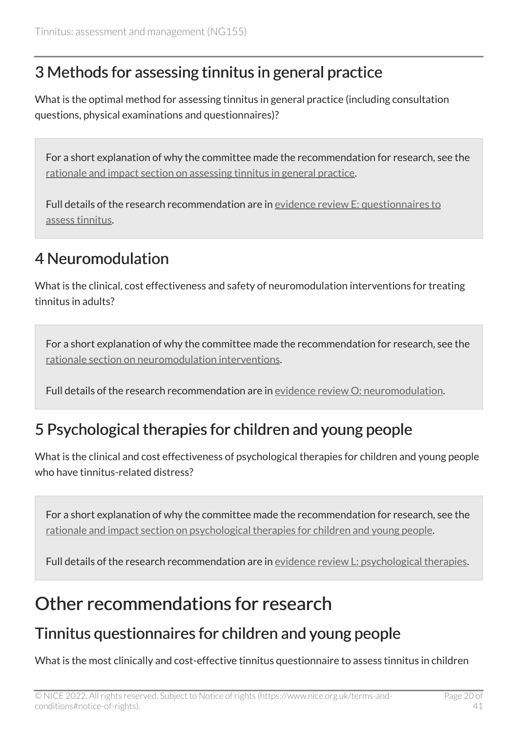### <span id="page-19-2"></span>3 Methods for assessing tinnitus in general practice

What is the optimal method for assessing tinnitus in general practice (including consultation questions, physical examinations and questionnaires)?

For a short explanation of why the committee made the recommendation for research, see the [rationale and impact section on assessing tinnitus in general practice.](#page-26-0)

Full details of the research recommendation are in [evidence review E: questionnaires to](https://www.nice.org.uk/guidance/ng155/evidence/e-questionnaires-to-assess-tinnitus-pdf-7089705760) [assess tinnitus.](https://www.nice.org.uk/guidance/ng155/evidence/e-questionnaires-to-assess-tinnitus-pdf-7089705760)

### <span id="page-19-1"></span>4 Neuromodulation

What is the clinical, cost effectiveness and safety of neuromodulation interventions for treating tinnitus in adults?

For a short explanation of why the committee made the recommendation for research, see the [rationale section on neuromodulation interventions.](#page-38-0)

Full details of the research recommendation are in [evidence review O: neuromodulation](https://www.nice.org.uk/guidance/ng155/evidence/o-neuromodulation-pdf-255229407256).

#### <span id="page-19-3"></span>5 Psychological therapies for children and young people

What is the clinical and cost effectiveness of psychological therapies for children and young people who have tinnitus-related distress?

For a short explanation of why the committee made the recommendation for research, see the [rationale and impact section on psychological therapies for children and young people](#page-34-1).

Full details of the research recommendation are in [evidence review L: psychological therapies.](https://www.nice.org.uk/guidance/ng155/evidence/l-psychological-therapies-pdf-255229407253)

### <span id="page-19-0"></span>Other recommendations for research

### Tinnitus questionnaires for children and young people

What is the most clinically and cost-effective tinnitus questionnaire to assess tinnitus in children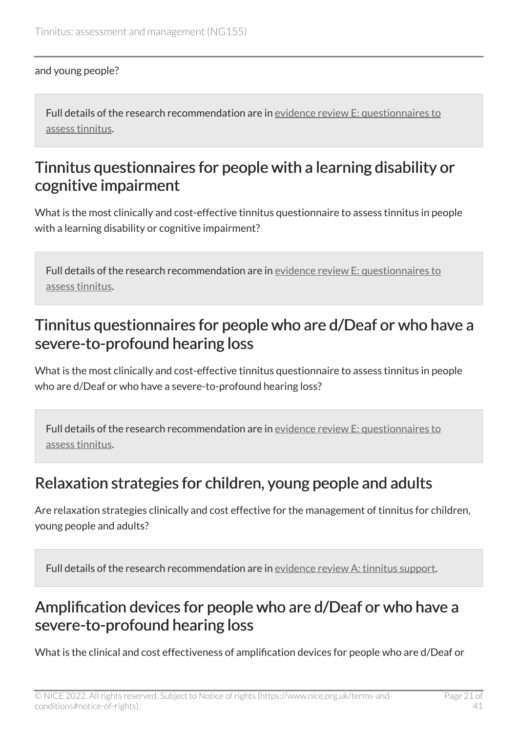#### and young people?

Full details of the research recommendation are in evidence review [E: questionnaires to](https://www.nice.org.uk/guidance/ng155/evidence/e-questionnaires-to-assess-tinnitus-pdf-7089705760) [assess tinnitus.](https://www.nice.org.uk/guidance/ng155/evidence/e-questionnaires-to-assess-tinnitus-pdf-7089705760)

#### Tinnitus questionnaires for people with a learning disability or cognitive impairment

What is the most clinically and cost-effective tinnitus questionnaire to assess tinnitus in people with a learning disability or cognitive impairment?

Full details of the research recommendation are in evidence review [E: questionnaires to](https://www.nice.org.uk/guidance/ng155/evidence/e-questionnaires-to-assess-tinnitus-pdf-7089705760) [assess tinnitus.](https://www.nice.org.uk/guidance/ng155/evidence/e-questionnaires-to-assess-tinnitus-pdf-7089705760)

#### Tinnitus questionnaires for people who are d/Deaf or who have a severe-to-profound hearing loss

What is the most clinically and cost-effective tinnitus questionnaire to assess tinnitus in people who are d/Deaf or who have a severe-to-profound hearing loss?

Full details of the research recommendation are in evidence review [E: questionnaires to](https://www.nice.org.uk/guidance/ng155/evidence/e-questionnaires-to-assess-tinnitus-pdf-7089705760) [assess tinnitus.](https://www.nice.org.uk/guidance/ng155/evidence/e-questionnaires-to-assess-tinnitus-pdf-7089705760)

#### <span id="page-20-0"></span>Relaxation strategies for children, young people and adults

Are relaxation strategies clinically and cost effective for the management of tinnitus for children, young people and adults?

Full details of the research recommendation are in evidence review [A: tinnitus support.](https://www.nice.org.uk/guidance/ng155/evidence/a-tinnitus-support-pdf-7089705757)

### Amplification devices for people who are d/Deaf or who have a severe-to-profound hearing loss

What is the clinical and cost effectiveness of amplification devices for people who are d/Deaf or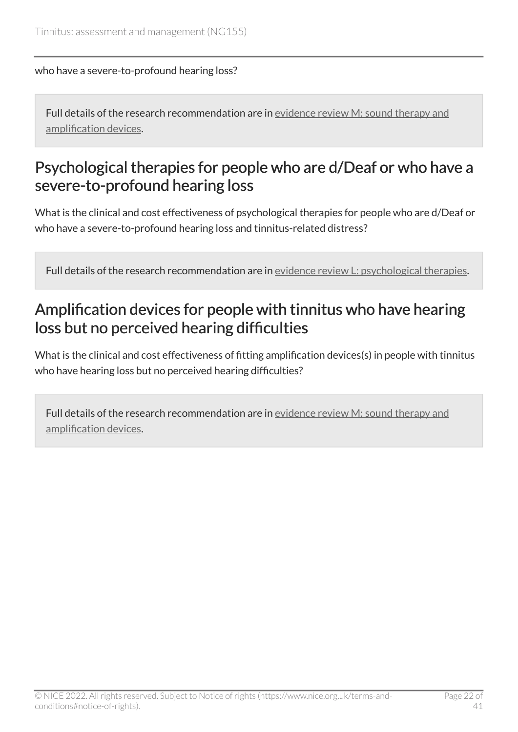who have a severe-to-profound hearing loss?

Full details of the research recommendation are in evidence review [M: sound therapy and](https://www.nice.org.uk/guidance/ng155/evidence/m-sound-therapy-and-amplification-devices-pdf-255229407254) [amplification devices](https://www.nice.org.uk/guidance/ng155/evidence/m-sound-therapy-and-amplification-devices-pdf-255229407254).

#### Psychological therapies for people who are d/Deaf or who have a severe-to-profound hearing loss

What is the clinical and cost effectiveness of psychological therapies for people who are d/Deaf or who have a severe-to-profound hearing loss and tinnitus-related distress?

Full details of the research recommendation are in evidence review [L: psychological therapies.](https://www.nice.org.uk/guidance/ng155/evidence/l-psychological-therapies-pdf-255229407253)

### Amplification devices for people with tinnitus who have hearing loss but no perceived hearing difficulties

What is the clinical and cost effectiveness of fitting amplification devices(s) in people with tinnitus who have hearing loss but no perceived hearing difficulties?

Full details of the research recommendation are in evidence review [M: sound therapy and](https://www.nice.org.uk/guidance/ng155/evidence/m-sound-therapy-and-amplification-devices-pdf-255229407254) [amplification devices](https://www.nice.org.uk/guidance/ng155/evidence/m-sound-therapy-and-amplification-devices-pdf-255229407254).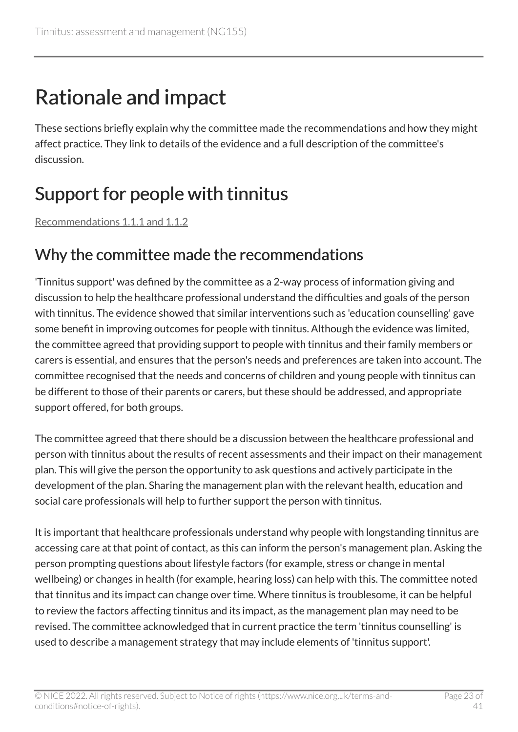# <span id="page-22-0"></span>Rationale and impact

These sections briefly explain why the committee made the recommendations and how they might affect practice. They link to details of the evidence and a full description of the committee's discussion.

## <span id="page-22-1"></span>Support for people with tinnitus

[Recommendations 1.1.1 and 1.1.2](#page-5-2)

#### Why the committee made the recommendations

'Tinnitus support' was defined by the committee as a 2-way process of information giving and discussion to help the healthcare professional understand the difficulties and goals of the person with tinnitus. The evidence showed that similar interventions such as 'education counselling' gave some benefit in improving outcomes for people with tinnitus. Although the evidence was limited, the committee agreed that providing support to people with tinnitus and their family members or carers is essential, and ensures that the person's needs and preferences are taken into account. The committee recognised that the needs and concerns of children and young people with tinnitus can be different to those of their parents or carers, but these should be addressed, and appropriate support offered, for both groups.

The committee agreed that there should be a discussion between the healthcare professional and person with tinnitus about the results of recent assessments and their impact on their management plan. This will give the person the opportunity to ask questions and actively participate in the development of the plan. Sharing the management plan with the relevant health, education and social care professionals will help to further support the person with tinnitus.

It is important that healthcare professionals understand why people with longstanding tinnitus are accessing care at that point of contact, as this can inform the person's management plan. Asking the person prompting questions about lifestyle factors (for example, stress or change in mental wellbeing) or changes in health (for example, hearing loss) can help with this. The committee noted that tinnitus and its impact can change over time. Where tinnitus is troublesome, it can be helpful to review the factors affecting tinnitus and its impact, as the management plan may need to be revised. The committee acknowledged that in current practice the term 'tinnitus counselling' is used to describe a management strategy that may include elements of 'tinnitus support'.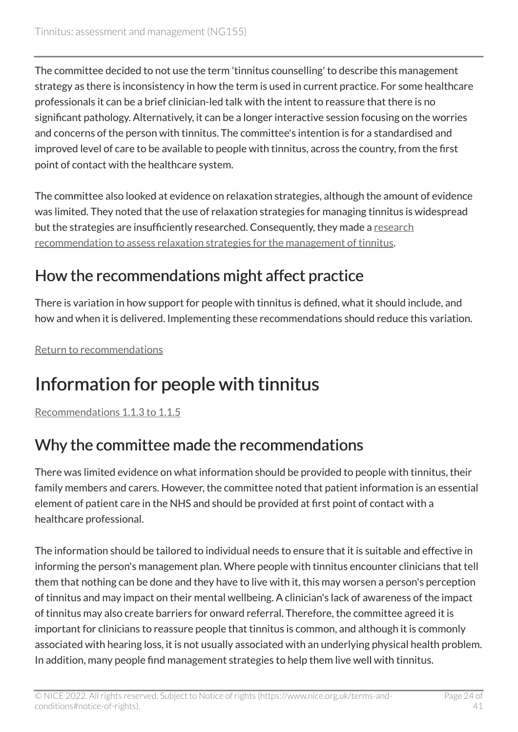The committee decided to not use the term 'tinnitus counselling' to describe this management strategy as there is inconsistency in how the term is used in current practice. For some healthcare professionals it can be a brief clinician-led talk with the intent to reassure that there is no significant pathology. Alternatively, it can be a longer interactive session focusing on the worries and concerns of the person with tinnitus. The committee's intention is for a standardised and improved level of care to be available to people with tinnitus, across the country, from the first point of contact with the healthcare system.

The committee also looked at evidence on relaxation strategies, although the amount of evidence was limited. They noted that the use of relaxation strategies for managing tinnitus is widespread but the strategies are insufficiently researched. Consequently, they made a [research](#page-20-0)  [recommendation to assess relaxation strategies for the management of tinnitus.](#page-20-0)

### How the recommendations might affect practice

There is variation in how support for people with tinnitus is defined, what it should include, and how and when it is delivered. Implementing these recommendations should reduce this variation.

[Return to recommendations](#page-5-2)

## <span id="page-23-0"></span>Information for people with tinnitus

[Recommendations 1.1.3 to 1.1.5](#page-6-0) 

### Why the committee made the recommendations

There was limited evidence on what information should be provided to people with tinnitus, their family members and carers. However, the committee noted that patient information is an essential element of patient care in the NHS and should be provided at first point of contact with a healthcare professional.

The information should be tailored to individual needs to ensure that it is suitable and effective in informing the person's management plan. Where people with tinnitus encounter clinicians that tell them that nothing can be done and they have to live with it, this may worsen a person's perception of tinnitus and may impact on their mental wellbeing. A clinician's lack of awareness of the impact of tinnitus may also create barriers for onward referral. Therefore, the committee agreed it is important for clinicians to reassure people that tinnitus is common, and although it is commonly associated with hearing loss, it is not usually associated with an underlying physical health problem. In addition, many people find management strategies to help them live well with tinnitus.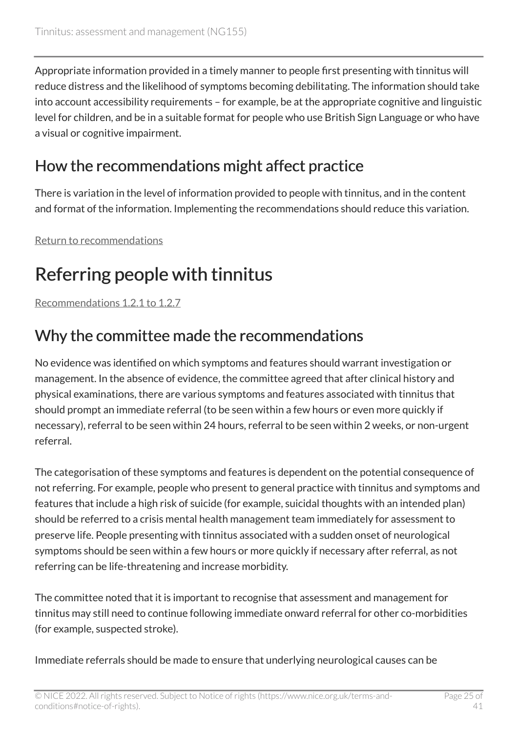Appropriate information provided in a timely manner to people first presenting with tinnitus will reduce distress and the likelihood of symptoms becoming debilitating. The information should take into account accessibility requirements – for example, be at the appropriate cognitive and linguistic level for children, and be in a suitable format for people who use British Sign Language or who have a visual or cognitive impairment.

### How the recommendations might affect practice

There is variation in the level of information provided to people with tinnitus, and in the content and format of the information. Implementing the recommendations should reduce this variation.

[Return to recommendations](#page-6-0)

## <span id="page-24-0"></span>Referring people with tinnitus

[Recommendations 1.2.1 to 1.2.7](#page-7-0) 

### Why the committee made the recommendations

No evidence was identified on which symptoms and features should warrant investigation or management. In the absence of evidence, the committee agreed that after clinical history and physical examinations, there are various symptoms and features associated with tinnitus that should prompt an immediate referral (to be seen within a few hours or even more quickly if necessary), referral to be seen within 24 hours, referral to be seen within 2 weeks, or non-urgent referral.

The categorisation of these symptoms and features is dependent on the potential consequence of not referring. For example, people who present to general practice with tinnitus and symptoms and features that include a high risk of suicide (for example, suicidal thoughts with an intended plan) should be referred to a crisis mental health management team immediately for assessment to preserve life. People presenting with tinnitus associated with a sudden onset of neurological symptoms should be seen within a few hours or more quickly if necessary after referral, as not referring can be life-threatening and increase morbidity.

The committee noted that it is important to recognise that assessment and management for tinnitus may still need to continue following immediate onward referral for other co-morbidities (for example, suspected stroke).

Immediate referrals should be made to ensure that underlying neurological causes can be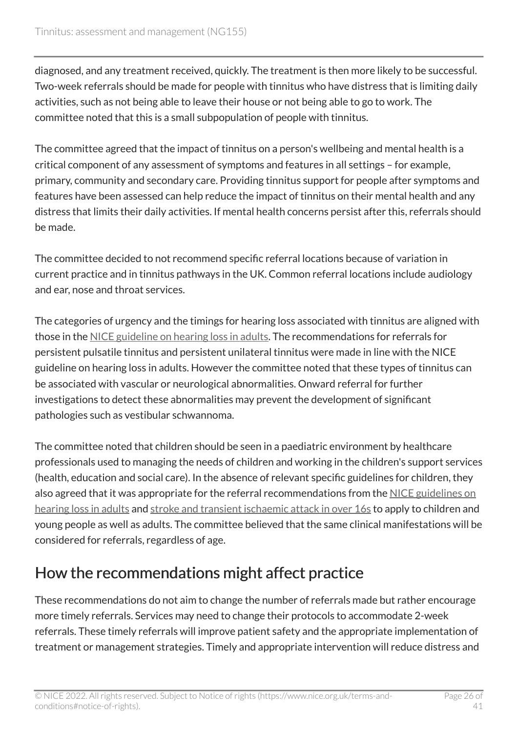diagnosed, and any treatment received, quickly. The treatment is then more likely to be successful. Two-week referrals should be made for people with tinnitus who have distress that is limiting daily activities, such as not being able to leave their house or not being able to go to work. The committee noted that this is a small subpopulation of people with tinnitus.

The committee agreed that the impact of tinnitus on a person's wellbeing and mental health is a critical component of any assessment of symptoms and features in all settings – for example, primary, community and secondary care. Providing tinnitus support for people after symptoms and features have been assessed can help reduce the impact of tinnitus on their mental health and any distress that limits their daily activities. If mental health concerns persist after this, referrals should be made.

The committee decided to not recommend specific referral locations because of variation in current practice and in tinnitus pathways in the UK. Common referral locations include audiology and ear, nose and throat services.

The categories of urgency and the timings for hearing loss associated with tinnitus are aligned with those in the [NICE guideline on hearing loss in adults](https://www.nice.org.uk/guidance/ng98). The recommendations for referrals for persistent pulsatile tinnitus and persistent unilateral tinnitus were made in line with the NICE guideline on hearing loss in adults. However the committee noted that these types of tinnitus can be associated with vascular or neurological abnormalities. Onward referral for further investigations to detect these abnormalities may prevent the development of significant pathologies such as vestibular schwannoma.

The committee noted that children should be seen in a paediatric environment by healthcare professionals used to managing the needs of children and working in the children's support services (health, education and social care). In the absence of relevant specific guidelines for children, they also agreed that it was appropriate for the referral recommendations from the [NICE guidelines on](https://www.nice.org.uk/guidance/ng98) [hearing loss in adults](https://www.nice.org.uk/guidance/ng98) and [stroke and transient ischaemic attack in over 16s](https://www.nice.org.uk/guidance/ng128) to apply to children and young people as well as adults. The committee believed that the same clinical manifestations will be considered for referrals, regardless of age.

### How the recommendations might affect practice

These recommendations do not aim to change the number of referrals made but rather encourage more timely referrals. Services may need to change their protocols to accommodate 2-week referrals. These timely referrals will improve patient safety and the appropriate implementation of treatment or management strategies. Timely and appropriate intervention will reduce distress and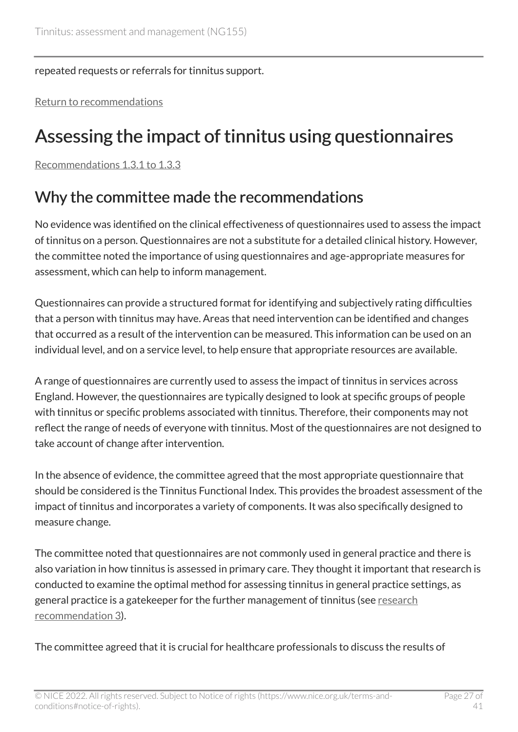repeated requests or referrals for tinnitus support.

[Return to recommendations](#page-7-0)

## <span id="page-26-0"></span>Assessing the impact of tinnitus using questionnaires

[Recommendations 1.3.1 to 1.3.3](#page-9-0) 

#### Why the committee made the recommendations

No evidence was identified on the clinical effectiveness of questionnaires used to assess the impact of tinnitus on a person. Questionnaires are not a substitute for a detailed clinical history. However, the committee noted the importance of using questionnaires and age-appropriate measures for assessment, which can help to inform management.

Questionnaires can provide a structured format for identifying and subjectively rating difficulties that a person with tinnitus may have. Areas that need intervention can be identified and changes that occurred as a result of the intervention can be measured. This information can be used on an individual level, and on a service level, to help ensure that appropriate resources are available.

A range of questionnaires are currently used to assess the impact of tinnitus in services across England. However, the questionnaires are typically designed to look at specific groups of people with tinnitus or specific problems associated with tinnitus. Therefore, their components may not reflect the range of needs of everyone with tinnitus. Most of the questionnaires are not designed to take account of change after intervention.

In the absence of evidence, the committee agreed that the most appropriate questionnaire that should be considered is the Tinnitus Functional Index. This provides the broadest assessment of the impact of tinnitus and incorporates a variety of components. It was also specifically designed to measure change.

The committee noted that questionnaires are not commonly used in general practice and there is also variation in how tinnitus is assessed in primary care. They thought it important that research is conducted to examine the optimal method for assessing tinnitus in general practice settings, as general practice is a gatekeeper for the further management of tinnitus (see [research](#page-19-2) [recommendation 3](#page-19-2)).

The committee agreed that it is crucial for healthcare professionals to discuss the results of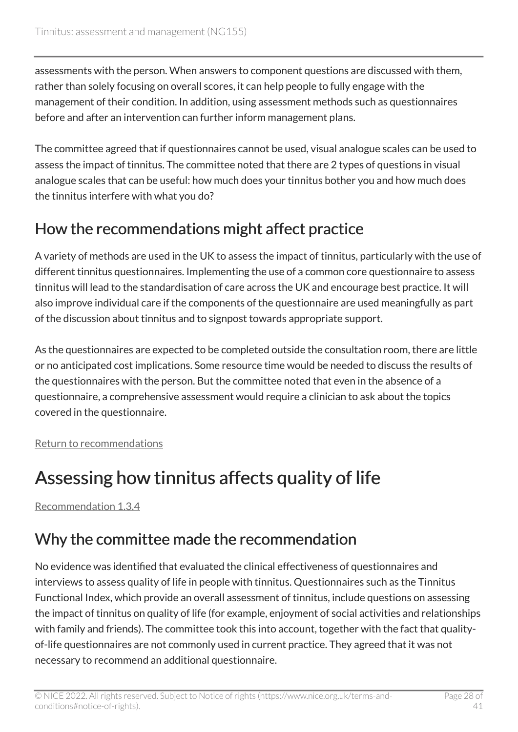assessments with the person. When answers to component questions are discussed with them, rather than solely focusing on overall scores, it can help people to fully engage with the management of their condition. In addition, using assessment methods such as questionnaires before and after an intervention can further inform management plans.

The committee agreed that if questionnaires cannot be used, visual analogue scales can be used to assess the impact of tinnitus. The committee noted that there are 2 types of questions in visual analogue scales that can be useful: how much does your tinnitus bother you and how much does the tinnitus interfere with what you do?

### How the recommendations might affect practice

A variety of methods are used in the UK to assess the impact of tinnitus, particularly with the use of different tinnitus questionnaires. Implementing the use of a common core questionnaire to assess tinnitus will lead to the standardisation of care across the UK and encourage best practice. It will also improve individual care if the components of the questionnaire are used meaningfully as part of the discussion about tinnitus and to signpost towards appropriate support.

As the questionnaires are expected to be completed outside the consultation room, there are little or no anticipated cost implications. Some resource time would be needed to discuss the results of the questionnaires with the person. But the committee noted that even in the absence of a questionnaire, a comprehensive assessment would require a clinician to ask about the topics covered in the questionnaire.

[Return to recommendations](#page-9-0)

## <span id="page-27-0"></span>Assessing how tinnitus affects quality of life

[Recommendation 1.3.4](#page-9-1) 

### Why the committee made the recommendation

No evidence was identified that evaluated the clinical effectiveness of questionnaires and interviews to assess quality of life in people with tinnitus. Questionnaires such as the Tinnitus Functional Index, which provide an overall assessment of tinnitus, include questions on assessing the impact of tinnitus on quality of life (for example, enjoyment of social activities and relationships with family and friends). The committee took this into account, together with the fact that qualityof-life questionnaires are not commonly used in current practice. They agreed that it was not necessary to recommend an additional questionnaire.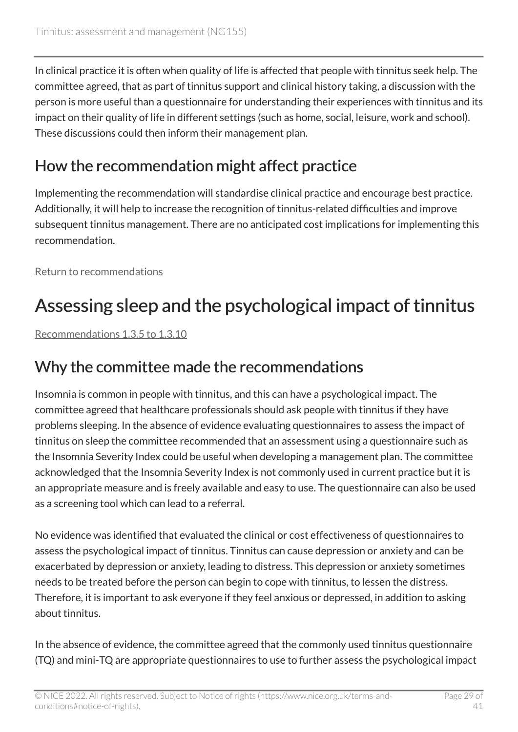In clinical practice it is often when quality of life is affected that people with tinnitus seek help. The committee agreed, that as part of tinnitus support and clinical history taking, a discussion with the person is more useful than a questionnaire for understanding their experiences with tinnitus and its impact on their quality of life in different settings (such as home, social, leisure, work and school). These discussions could then inform their management plan.

### How the recommendation might affect practice

Implementing the recommendation will standardise clinical practice and encourage best practice. Additionally, it will help to increase the recognition of tinnitus-related difficulties and improve subsequent tinnitus management. There are no anticipated cost implications for implementing this recommendation.

[Return to recommendations](#page-9-1)

## <span id="page-28-0"></span>Assessing sleep and the psychological impact of tinnitus

[Recommendations 1.3.5 to 1.3.10](#page-10-1) 

### Why the committee made the recommendations

Insomnia is common in people with tinnitus, and this can have a psychological impact. The committee agreed that healthcare professionals should ask people with tinnitus if they have problems sleeping. In the absence of evidence evaluating questionnaires to assess the impact of tinnitus on sleep the committee recommended that an assessment using a questionnaire such as the Insomnia Severity Index could be useful when developing a management plan. The committee acknowledged that the Insomnia Severity Index is not commonly used in current practice but it is an appropriate measure and is freely available and easy to use. The questionnaire can also be used as a screening tool which can lead to a referral.

No evidence was identified that evaluated the clinical or cost effectiveness of questionnaires to assess the psychological impact of tinnitus. Tinnitus can cause depression or anxiety and can be exacerbated by depression or anxiety, leading to distress. This depression or anxiety sometimes needs to be treated before the person can begin to cope with tinnitus, to lessen the distress. Therefore, it is important to ask everyone if they feel anxious or depressed, in addition to asking about tinnitus.

In the absence of evidence, the committee agreed that the commonly used tinnitus questionnaire (TQ) and mini-TQ are appropriate questionnaires to use to further assess the psychological impact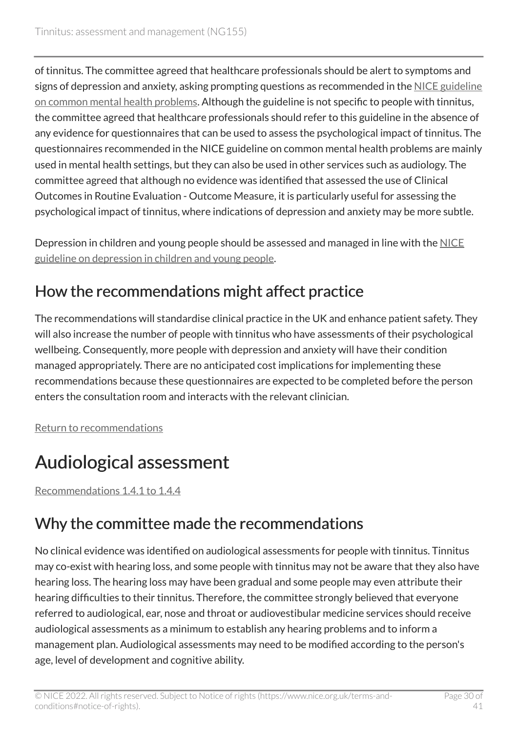of tinnitus. The committee agreed that healthcare professionals should be alert to symptoms and signs of depression and anxiety, asking prompting questions as recommended in the [NICE guideline](https://www.nice.org.uk/guidance/cg123) [on common mental health problems.](https://www.nice.org.uk/guidance/cg123) Although the guideline is not specific to people with tinnitus, the committee agreed that healthcare professionals should refer to this guideline in the absence of any evidence for questionnaires that can be used to assess the psychological impact of tinnitus. The questionnaires recommended in the NICE guideline on common mental health problems are mainly used in mental health settings, but they can also be used in other services such as audiology. The committee agreed that although no evidence was identified that assessed the use of Clinical Outcomes in Routine Evaluation - Outcome Measure, it is particularly useful for assessing the psychological impact of tinnitus, where indications of depression and anxiety may be more subtle.

Depression in children and young people should be assessed and managed in line with the [NICE](https://www.nice.org.uk/guidance/ng134)  [guideline on depression in children and young people.](https://www.nice.org.uk/guidance/ng134)

### How the recommendations might affect practice

The recommendations will standardise clinical practice in the UK and enhance patient safety. They will also increase the number of people with tinnitus who have assessments of their psychological wellbeing. Consequently, more people with depression and anxiety will have their condition managed appropriately. There are no anticipated cost implications for implementing these recommendations because these questionnaires are expected to be completed before the person enters the consultation room and interacts with the relevant clinician.

[Return to recommendations](#page-10-0)

## <span id="page-29-0"></span>Audiological assessment

[Recommendations 1.4.1 to 1.4.4](#page-11-1) 

### Why the committee made the recommendations

No clinical evidence was identified on audiological assessments for people with tinnitus. Tinnitus may co-exist with hearing loss, and some people with tinnitus may not be aware that they also have hearing loss. The hearing loss may have been gradual and some people may even attribute their hearing difficulties to their tinnitus. Therefore, the committee strongly believed that everyone referred to audiological, ear, nose and throat or audiovestibular medicine services should receive audiological assessments as a minimum to establish any hearing problems and to inform a management plan. Audiological assessments may need to be modified according to the person's age, level of development and cognitive ability.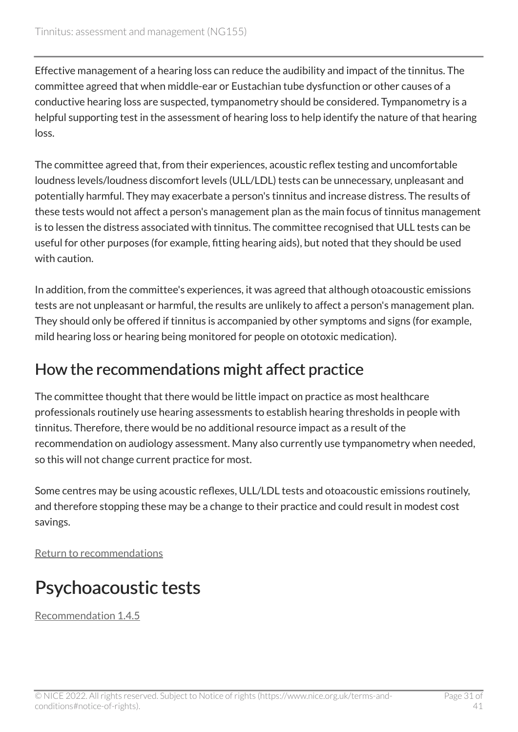Effective management of a hearing loss can reduce the audibility and impact of the tinnitus. The committee agreed that when middle-ear or Eustachian tube dysfunction or other causes of a conductive hearing loss are suspected, tympanometry should be considered. Tympanometry is a helpful supporting test in the assessment of hearing loss to help identify the nature of that hearing loss.

The committee agreed that, from their experiences, acoustic reflex testing and uncomfortable loudness levels/loudness discomfort levels (ULL/LDL) tests can be unnecessary, unpleasant and potentially harmful. They may exacerbate a person's tinnitus and increase distress. The results of these tests would not affect a person's management plan as the main focus of tinnitus management is to lessen the distress associated with tinnitus. The committee recognised that ULL tests can be useful for other purposes (for example, fitting hearing aids), but noted that they should be used with caution.

In addition, from the committee's experiences, it was agreed that although otoacoustic emissions tests are not unpleasant or harmful, the results are unlikely to affect a person's management plan. They should only be offered if tinnitus is accompanied by other symptoms and signs (for example, mild hearing loss or hearing being monitored for people on ototoxic medication).

### How the recommendations might affect practice

The committee thought that there would be little impact on practice as most healthcare professionals routinely use hearing assessments to establish hearing thresholds in people with tinnitus. Therefore, there would be no additional resource impact as a result of the recommendation on audiology assessment. Many also currently use tympanometry when needed, so this will not change current practice for most.

Some centres may be using acoustic reflexes, ULL/LDL tests and otoacoustic emissions routinely, and therefore stopping these may be a change to their practice and could result in modest cost savings.

[Return to recommendations](#page-11-1)

## <span id="page-30-0"></span>Psychoacoustic tests

[Recommendation 1.4.5](#page-12-0)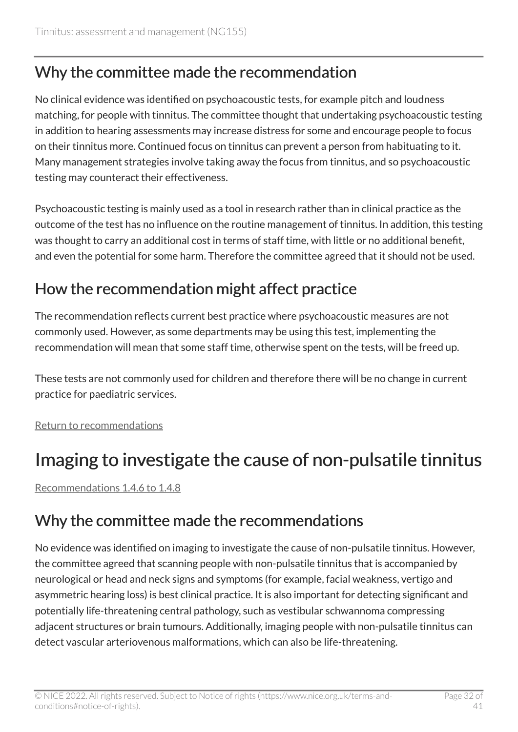### Why the committee made the recommendation

No clinical evidence was identified on psychoacoustic tests, for example pitch and loudness matching, for people with tinnitus. The committee thought that undertaking psychoacoustic testing in addition to hearing assessments may increase distress for some and encourage people to focus on their tinnitus more. Continued focus on tinnitus can prevent a person from habituating to it. Many management strategies involve taking away the focus from tinnitus, and so psychoacoustic testing may counteract their effectiveness.

Psychoacoustic testing is mainly used as a tool in research rather than in clinical practice as the outcome of the test has no influence on the routine management of tinnitus. In addition, this testing was thought to carry an additional cost in terms of staff time, with little or no additional benefit, and even the potential for some harm. Therefore the committee agreed that it should not be used.

### How the recommendation might affect practice

The recommendation reflects current best practice where psychoacoustic measures are not commonly used. However, as some departments may be using this test, implementing the recommendation will mean that some staff time, otherwise spent on the tests, will be freed up.

These tests are not commonly used for children and therefore there will be no change in current practice for paediatric services.

[Return to recommendations](#page-12-0)

## <span id="page-31-0"></span>Imaging to investigate the cause of non-pulsatile tinnitus

[Recommendations 1.4.6 to 1.4.8](#page-12-1) 

### Why the committee made the recommendations

No evidence was identified on imaging to investigate the cause of non-pulsatile tinnitus. However, the committee agreed that scanning people with non-pulsatile tinnitus that is accompanied by neurological or head and neck signs and symptoms (for example, facial weakness, vertigo and asymmetric hearing loss) is best clinical practice. It is also important for detecting significant and potentially life-threatening central pathology, such as vestibular schwannoma compressing adjacent structures or brain tumours. Additionally, imaging people with non-pulsatile tinnitus can detect vascular arteriovenous malformations, which can also be life-threatening.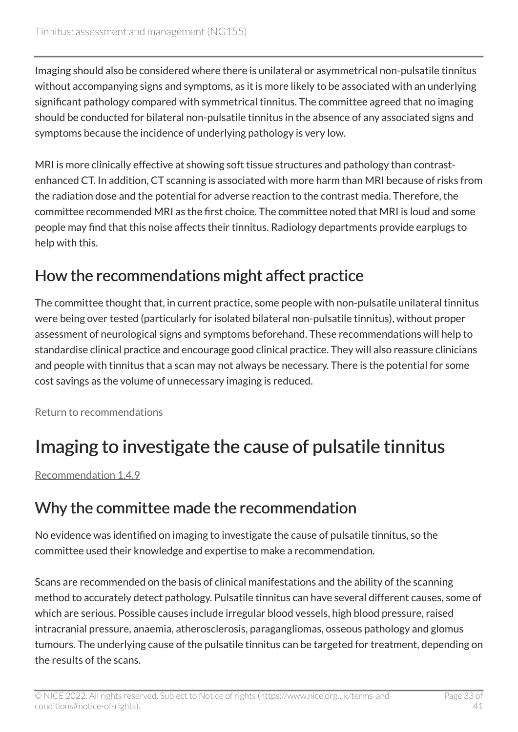Imaging should also be considered where there is unilateral or asymmetrical non-pulsatile tinnitus without accompanying signs and symptoms, as it is more likely to be associated with an underlying significant pathology compared with symmetrical tinnitus. The committee agreed that no imaging should be conducted for bilateral non-pulsatile tinnitus in the absence of any associated signs and symptoms because the incidence of underlying pathology is very low.

MRI is more clinically effective at showing soft tissue structures and pathology than contrastenhanced CT. In addition, CT scanning is associated with more harm than MRI because of risks from the radiation dose and the potential for adverse reaction to the contrast media. Therefore, the committee recommended MRI as the first choice. The committee noted that MRI is loud and some people may find that this noise affects their tinnitus. Radiology departments provide earplugs to help with this.

### How the recommendations might affect practice

The committee thought that, in current practice, some people with non-pulsatile unilateral tinnitus were being over tested (particularly for isolated bilateral non-pulsatile tinnitus), without proper assessment of neurological signs and symptoms beforehand. These recommendations will help to standardise clinical practice and encourage good clinical practice. They will also reassure clinicians and people with tinnitus that a scan may not always be necessary. There is the potential for some cost savings as the volume of unnecessary imaging is reduced.

[Return to recommendations](#page-12-1)

## <span id="page-32-0"></span>Imaging to investigate the cause of pulsatile tinnitus

[Recommendation 1.4.9](#page-13-0) 

### Why the committee made the recommendation

No evidence was identified on imaging to investigate the cause of pulsatile tinnitus, so the committee used their knowledge and expertise to make a recommendation.

Scans are recommended on the basis of clinical manifestations and the ability of the scanning method to accurately detect pathology. Pulsatile tinnitus can have several different causes, some of which are serious. Possible causes include irregular blood vessels, high blood pressure, raised intracranial pressure, anaemia, atherosclerosis, paragangliomas, osseous pathology and glomus tumours. The underlying cause of the pulsatile tinnitus can be targeted for treatment, depending on the results of the scans.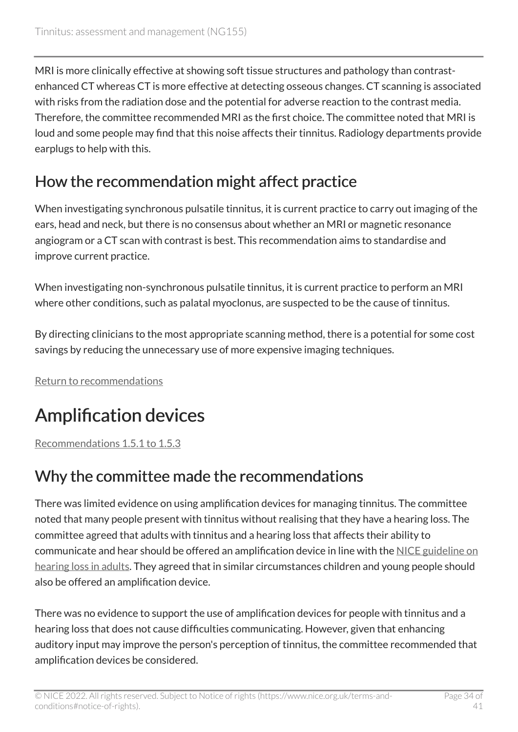MRI is more clinically effective at showing soft tissue structures and pathology than contrastenhanced CT whereas CT is more effective at detecting osseous changes. CT scanning is associated with risks from the radiation dose and the potential for adverse reaction to the contrast media. Therefore, the committee recommended MRI as the first choice. The committee noted that MRI is loud and some people may find that this noise affects their tinnitus. Radiology departments provide earplugs to help with this.

### How the recommendation might affect practice

When investigating synchronous pulsatile tinnitus, it is current practice to carry out imaging of the ears, head and neck, but there is no consensus about whether an MRI or magnetic resonance angiogram or a CT scan with contrast is best. This recommendation aims to standardise and improve current practice.

When investigating non-synchronous pulsatile tinnitus, it is current practice to perform an MRI where other conditions, such as palatal myoclonus, are suspected to be the cause of tinnitus.

By directing clinicians to the most appropriate scanning method, there is a potential for some cost savings by reducing the unnecessary use of more expensive imaging techniques.

[Return to recommendations](#page-13-0)

## <span id="page-33-0"></span>Amplification devices

[Recommendations 1.5.1 to 1.5.3](#page-14-1) 

### Why the committee made the recommendations

There was limited evidence on using amplification devices for managing tinnitus. The committee noted that many people present with tinnitus without realising that they have a hearing loss. The committee agreed that adults with tinnitus and a hearing loss that affects their ability to communicate and hear should be offered an amplification device in line with the [NICE guideline on](https://www.nice.org.uk/guidance/ng98)  [hearing loss in adults.](https://www.nice.org.uk/guidance/ng98) They agreed that in similar circumstances children and young people should also be offered an amplification device.

There was no evidence to support the use of amplification devices for people with tinnitus and a hearing loss that does not cause difficulties communicating. However, given that enhancing auditory input may improve the person's perception of tinnitus, the committee recommended that amplification devices be considered.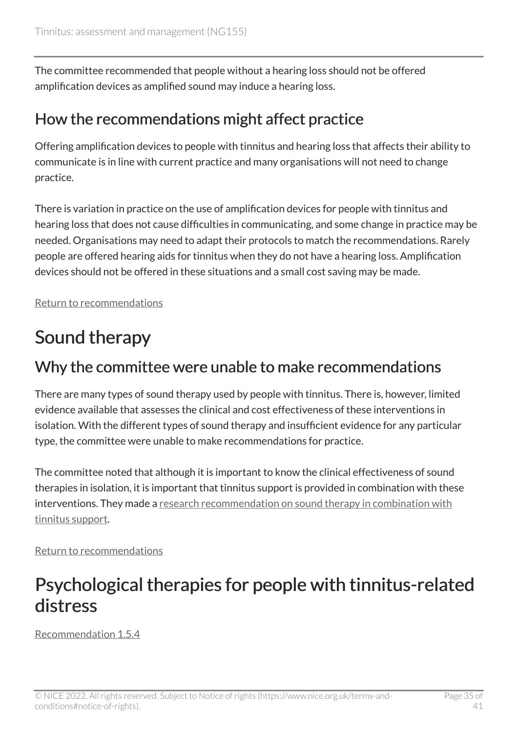The committee recommended that people without a hearing loss should not be offered amplification devices as amplified sound may induce a hearing loss.

### How the recommendations might affect practice

Offering amplification devices to people with tinnitus and hearing loss that affects their ability to communicate is in line with current practice and many organisations will not need to change practice.

There is variation in practice on the use of amplification devices for people with tinnitus and hearing loss that does not cause difficulties in communicating, and some change in practice may be needed. Organisations may need to adapt their protocols to match the recommendations. Rarely people are offered hearing aids for tinnitus when they do not have a hearing loss. Amplification devices should not be offered in these situations and a small cost saving may be made.

[Return to recommendations](#page-14-1)

## <span id="page-34-0"></span>Sound therapy

### Why the committee were unable to make recommendations

There are many types of sound therapy used by people with tinnitus. There is, however, limited evidence available that assesses the clinical and cost effectiveness of these interventions in isolation. With the different types of sound therapy and insufficient evidence for any particular type, the committee were unable to make recommendations for practice.

The committee noted that although it is important to know the clinical effectiveness of sound therapies in isolation, it is important that tinnitus support is provided in combination with these interventions. They made a research recommendation on sound therapy in combination with [tinnitus support.](#page-18-2)

[Return to recommendations](#page-14-2)

### <span id="page-34-1"></span>Psychological therapies for people with tinnitus-related distress

[Recommendation 1.5.4](#page-14-3)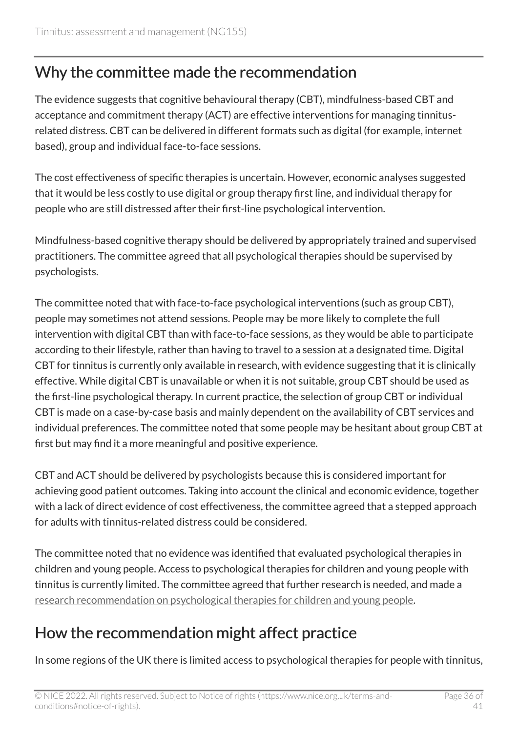### Why the committee made the recommendation

The evidence suggests that cognitive behavioural therapy (CBT), mindfulness-based CBT and acceptance and commitment therapy (ACT) are effective interventions for managing tinnitusrelated distress. CBT can be delivered in different formats such as digital (for example, internet based), group and individual face-to-face sessions.

The cost effectiveness of specific therapies is uncertain. However, economic analyses suggested that it would be less costly to use digital or group therapy first line, and individual therapy for people who are still distressed after their first-line psychological intervention.

Mindfulness-based cognitive therapy should be delivered by appropriately trained and supervised practitioners. The committee agreed that all psychological therapies should be supervised by psychologists.

The committee noted that with face-to-face psychological interventions (such as group CBT), people may sometimes not attend sessions. People may be more likely to complete the full intervention with digital CBT than with face-to-face sessions, as they would be able to participate according to their lifestyle, rather than having to travel to a session at a designated time. Digital CBT for tinnitus is currently only available in research, with evidence suggesting that it is clinically effective. While digital CBT is unavailable or when it is not suitable, group CBT should be used as the first-line psychological therapy. In current practice, the selection of group CBT or individual CBT is made on a case-by-case basis and mainly dependent on the availability of CBT services and individual preferences. The committee noted that some people may be hesitant about group CBT at first but may find it a more meaningful and positive experience.

CBT and ACT should be delivered by psychologists because this is considered important for achieving good patient outcomes. Taking into account the clinical and economic evidence, together with a lack of direct evidence of cost effectiveness, the committee agreed that a stepped approach for adults with tinnitus-related distress could be considered.

The committee noted that no evidence was identified that evaluated psychological therapies in children and young people. Access to psychological therapies for children and young people with tinnitus is currently limited. The committee agreed that further research is needed, and made a [research recommendation on psychological therapies for children and young people](#page-19-3).

### How the recommendation might affect practice

In some regions of the UK there is limited access to psychological therapies for people with tinnitus,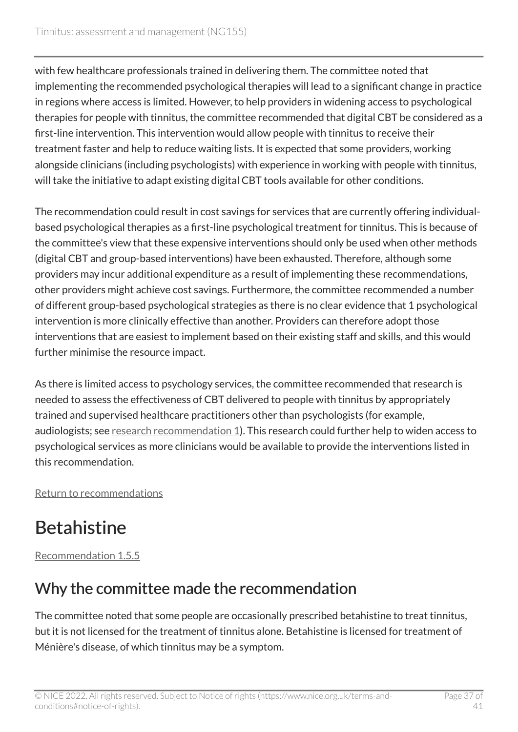with few healthcare professionals trained in delivering them. The committee noted that implementing the recommended psychological therapies will lead to a significant change in practice in regions where access is limited. However, to help providers in widening access to psychological therapies for people with tinnitus, the committee recommended that digital CBT be considered as a first-line intervention. This intervention would allow people with tinnitus to receive their treatment faster and help to reduce waiting lists. It is expected that some providers, working alongside clinicians (including psychologists) with experience in working with people with tinnitus, will take the initiative to adapt existing digital CBT tools available for other conditions.

The recommendation could result in cost savings for services that are currently offering individualbased psychological therapies as a first-line psychological treatment for tinnitus. This is because of the committee's view that these expensive interventions should only be used when other methods (digital CBT and group-based interventions) have been exhausted. Therefore, although some providers may incur additional expenditure as a result of implementing these recommendations, other providers might achieve cost savings. Furthermore, the committee recommended a number of different group-based psychological strategies as there is no clear evidence that 1 psychological intervention is more clinically effective than another. Providers can therefore adopt those interventions that are easiest to implement based on their existing staff and skills, and this would further minimise the resource impact.

As there is limited access to psychology services, the committee recommended that research is needed to assess the effectiveness of CBT delivered to people with tinnitus by appropriately trained and supervised healthcare practitioners other than psychologists (for example, audiologists; see [research recommendation 1\)](#page-18-3). This research could further help to widen access to psychological services as more clinicians would be available to provide the interventions listed in this recommendation.

[Return to recommendations](#page-14-3)

## <span id="page-36-0"></span>**Betahistine**

[Recommendation 1.5.5](#page-15-0) 

### Why the committee made the recommendation

The committee noted that some people are occasionally prescribed betahistine to treat tinnitus, but it is not licensed for the treatment of tinnitus alone. Betahistine is licensed for treatment of Ménière's disease, of which tinnitus may be a symptom.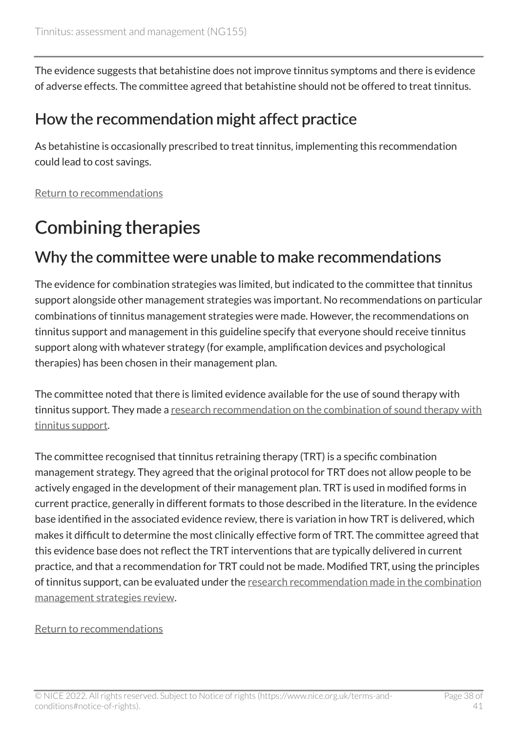The evidence suggests that betahistine does not improve tinnitus symptoms and there is evidence of adverse effects. The committee agreed that betahistine should not be offered to treat tinnitus.

#### How the recommendation might affect practice

As betahistine is occasionally prescribed to treat tinnitus, implementing this recommendation could lead to cost savings.

[Return to recommendations](#page-15-0)

## <span id="page-37-0"></span>Combining therapies

### Why the committee were unable to make recommendations

The evidence for combination strategies was limited, but indicated to the committee that tinnitus support alongside other management strategies was important. No recommendations on particular combinations of tinnitus management strategies were made. However, the recommendations on tinnitus support and management in this guideline specify that everyone should receive tinnitus support along with whatever strategy (for example, amplification devices and psychological therapies) has been chosen in their management plan.

The committee noted that there is limited evidence available for the use of sound therapy with tinnitus support. They made a research recommendation on the combination of sound therapy with [tinnitus support.](#page-18-2)

The committee recognised that tinnitus retraining therapy (TRT) is a specific combination management strategy. They agreed that the original protocol for TRT does not allow people to be actively engaged in the development of their management plan. TRT is used in modified forms in current practice, generally in different formats to those described in the literature. In the evidence base identified in the associated evidence review, there is variation in how TRT is delivered, which makes it difficult to determine the most clinically effective form of TRT. The committee agreed that this evidence base does not reflect the TRT interventions that are typically delivered in current practice, and that a recommendation for TRT could not be made. Modified TRT, using the principles of tinnitus support, can be evaluated under the research recommendation made in the combination [management strategies review.](#page-18-2)

#### [Return to recommendations](#page-15-1)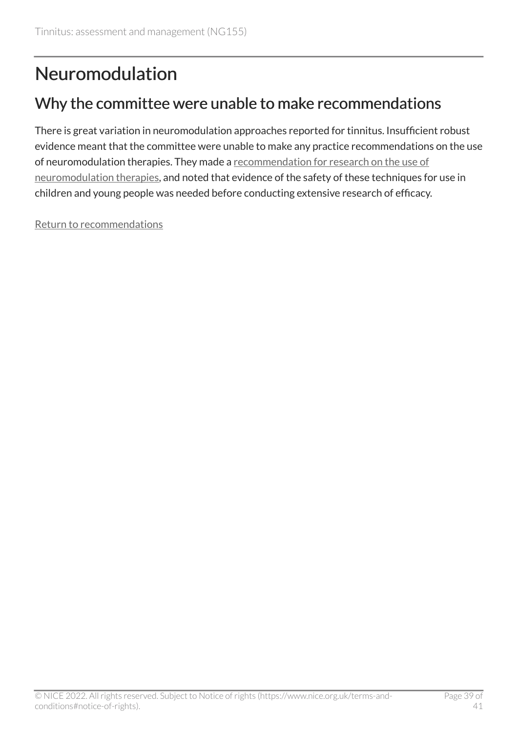## <span id="page-38-0"></span>Neuromodulation

### Why the committee were unable to make recommendations

There is great variation in neuromodulation approaches reported for tinnitus. Insufficient robust evidence meant that the committee were unable to make any practice recommendations on the use of neuromodulation therapies. They made a [recommendation for research on the use of](#page-19-1) [neuromodulation therapies,](#page-19-1) and noted that evidence of the safety of these techniques for use in children and young people was needed before conducting extensive research of efficacy.

[Return to recommendations](#page-16-5)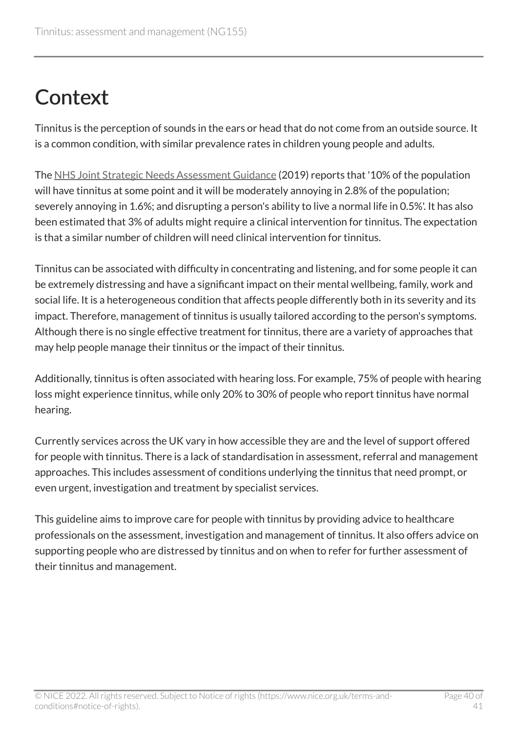# <span id="page-39-0"></span>**Context**

Tinnitus is the perception of sounds in the ears or head that do not come from an outside source. It is a common condition, with similar prevalence rates in children young people and adults.

The [NHS Joint Strategic Needs Assessment Guidance](https://www.england.nhs.uk/publication/what-works-guides-action-plan-on-hearing-loss/) (2019) reports that '10% of the population will have tinnitus at some point and it will be moderately annoying in 2.8% of the population; severely annoying in 1.6%; and disrupting a person's ability to live a normal life in 0.5%'. It has also been estimated that 3% of adults might require a clinical intervention for tinnitus. The expectation is that a similar number of children will need clinical intervention for tinnitus.

Tinnitus can be associated with difficulty in concentrating and listening, and for some people it can be extremely distressing and have a significant impact on their mental wellbeing, family, work and social life. It is a heterogeneous condition that affects people differently both in its severity and its impact. Therefore, management of tinnitus is usually tailored according to the person's symptoms. Although there is no single effective treatment for tinnitus, there are a variety of approaches that may help people manage their tinnitus or the impact of their tinnitus.

Additionally, tinnitus is often associated with hearing loss. For example, 75% of people with hearing loss might experience tinnitus, while only 20% to 30% of people who report tinnitus have normal hearing.

Currently services across the UK vary in how accessible they are and the level of support offered for people with tinnitus. There is a lack of standardisation in assessment, referral and management approaches. This includes assessment of conditions underlying the tinnitus that need prompt, or even urgent, investigation and treatment by specialist services.

This guideline aims to improve care for people with tinnitus by providing advice to healthcare professionals on the assessment, investigation and management of tinnitus. It also offers advice on supporting people who are distressed by tinnitus and on when to refer for further assessment of their tinnitus and management.